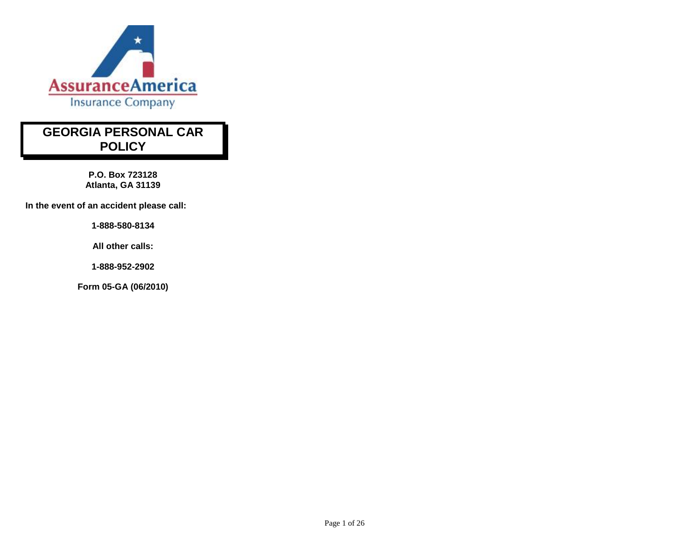

# **GEORGIA PERSONAL CAR POLICY**

**P.O. Box 723128 Atlanta, GA 31139**

**In the event of an accident please call:**

**1-888-580-8134** 

**All other calls:**

**1-888-952-2902** 

**Form 05-GA (06/2010)**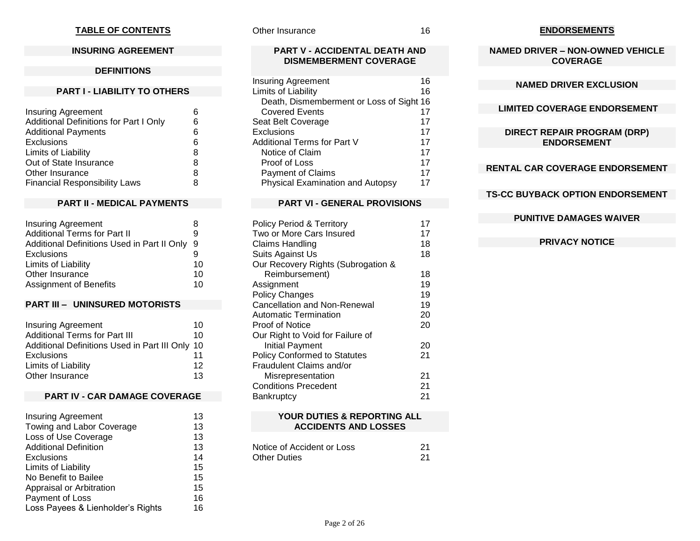### **TABLE OF CONTENTS**

### **INSURING AGREEMENT**

#### **DEFINITIONS**

#### **PART I - LIABILITY TO OTHERS**

| Insuring Agreement                     | 6 |
|----------------------------------------|---|
| Additional Definitions for Part I Only | 6 |
| <b>Additional Payments</b>             | 6 |
| <b>Exclusions</b>                      | 6 |
| Limits of Liability                    | 8 |
| Out of State Insurance                 | 8 |
| Other Insurance                        | 8 |
| <b>Financial Responsibility Laws</b>   | 8 |

#### **PART II - MEDICAL PAYMENTS**

| <b>Insuring Agreement</b>                   |     |
|---------------------------------------------|-----|
| <b>Additional Terms for Part II</b>         | 9   |
| Additional Definitions Used in Part II Only | - 9 |
| <b>Exclusions</b>                           |     |
| Limits of Liability                         | 10  |
| Other Insurance                             | 10  |
| Assignment of Benefits                      | 10  |

#### **PART III – UNINSURED MOTORISTS**

| <b>Insuring Agreement</b>                       | 10 |
|-------------------------------------------------|----|
| <b>Additional Terms for Part III</b>            | 10 |
| Additional Definitions Used in Part III Only 10 |    |
| <b>Exclusions</b>                               | 11 |
| Limits of Liability                             | 12 |
| Other Insurance                                 | 13 |

#### **PART IV - CAR DAMAGE COVERAGE**

| <b>Insuring Agreement</b>         | 13 |
|-----------------------------------|----|
| Towing and Labor Coverage         | 13 |
| Loss of Use Coverage              | 13 |
| <b>Additional Definition</b>      | 13 |
| Exclusions                        | 14 |
| Limits of Liability               | 15 |
| No Benefit to Bailee              | 15 |
| Appraisal or Arbitration          | 15 |
| Payment of Loss                   | 16 |
| Loss Payees & Lienholder's Rights | 16 |

Other Insurance 16

### **ENDORSEMENTS**

**NAMED DRIVER – NON-OWNED VEHICLE COVERAGE** 

#### **NAMED DRIVER EXCLUSION**

#### **LIMITED COVERAGE ENDORSEMENT**

### **DIRECT REPAIR PROGRAM (DRP) ENDORSEMENT**

### **RENTAL CAR COVERAGE ENDORSEMENT**

# **TS-CC BUYBACK OPTION ENDORSEMENT**

#### **PUNITIVE DAMAGES WAIVER**

### **PRIVACY NOTICE**

#### **PART V - ACCIDENTAL DEATH AND DISMEMBERMENT COVERAGE**

| 16                                       |
|------------------------------------------|
| 16                                       |
| Death, Dismemberment or Loss of Sight 16 |
| 17                                       |
| 17                                       |
| 17                                       |
| 17                                       |
| 17                                       |
| 17                                       |
| 17                                       |
| 17                                       |
|                                          |

### **PART VI - GENERAL PROVISIONS**

| <b>Policy Period &amp; Territory</b> | 17 |
|--------------------------------------|----|
| Two or More Cars Insured             | 17 |
| Claims Handling                      | 18 |
| Suits Against Us                     | 18 |
| Our Recovery Rights (Subrogation &   |    |
| Reimbursement)                       | 18 |
| Assignment                           | 19 |
| <b>Policy Changes</b>                | 19 |
| <b>Cancellation and Non-Renewal</b>  | 19 |
| Automatic Termination                | 20 |
| <b>Proof of Notice</b>               | 20 |
| Our Right to Void for Failure of     |    |
| Initial Payment                      | 20 |
| <b>Policy Conformed to Statutes</b>  | 21 |
| Fraudulent Claims and/or             |    |
| Misrepresentation                    | 21 |
| <b>Conditions Precedent</b>          | 21 |
| Bankruptcy                           | 21 |

#### **YOUR DUTIES & REPORTING ALL ACCIDENTS AND LOSSES**

| Notice of Accident or Loss | 21 |
|----------------------------|----|
| <b>Other Duties</b>        |    |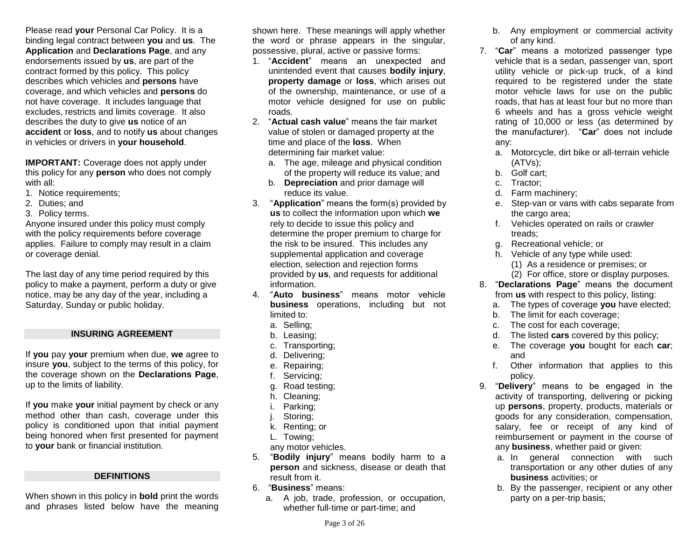Please read **your** Personal Car Policy. It is a binding legal contract between **you** and **us**. The **Application** and **Declarations Page**, and any endorsements issued by **us**, are part of the contract formed by this policy. This policy describes which vehicles and **persons** have coverage, and which vehicles and **persons** do not have coverage. It includes language that excludes, restricts and limits coverage. It also describes the duty to give **us** notice of an **accident** or **loss**, and to notify **us** about changes in vehicles or drivers in **your household**.

**IMPORTANT:** Coverage does not apply under this policy for any **person** who does not comply with all:

- 1. Notice requirements;
- 2. Duties; and
- 3. Policy terms.

Anyone insured under this policy must comply with the policy requirements before coverage applies. Failure to comply may result in a claim or coverage denial.

The last day of any time period required by this policy to make a payment, perform a duty or give notice, may be any day of the year, including a Saturday, Sunday or public holiday.

### **INSURING AGREEMENT**

If **you** pay **your** premium when due, **we** agree to insure **you**, subject to the terms of this policy, for the coverage shown on the **Declarations Page**, up to the limits of liability.

If **you** make **your** initial payment by check or any method other than cash, coverage under this policy is conditioned upon that initial payment being honored when first presented for payment to **your** bank or financial institution.

### **DEFINITIONS**

When shown in this policy in **bold** print the words and phrases listed below have the meaning

shown here. These meanings will apply whether the word or phrase appears in the singular, possessive, plural, active or passive forms:

- 1. "**Accident**" means an unexpected and unintended event that causes **bodily injury**, **property damage** or **loss**, which arises out of the ownership, maintenance, or use of a motor vehicle designed for use on public roads.
- 2. "**Actual cash value**" means the fair market value of stolen or damaged property at the time and place of the **loss**.When determining fair market value:
	- a. The age, mileage and physical condition of the property will reduce its value; and
	- b. **Depreciation** and prior damage will reduce its value.
- 3. "**Application**" means the form(s) provided by **us** to collect the information upon which **we** rely to decide to issue this policy and determine the proper premium to charge for the risk to be insured. This includes any supplemental application and coverage election, selection and rejection forms provided by **us**, and requests for additional information.
- 4. "**Auto business**" means motor vehicle **business** operations, including but not limited to:
	- a. Selling;
	- b. Leasing;
	- c. Transporting;
	- d. Delivering;
	- e. Repairing;
	- f. Servicing;
	- g. Road testing;
	- h. Cleaning;
	- i. Parking;
	- j. Storing;
	- k. Renting; or
	- L. Towing;

any motor vehicles.

- 5. "**Bodily injury**" means bodily harm to a **person** and sickness, disease or death that result from it.
- 6. "**Business**" means:
	- a. A job, trade, profession, or occupation, whether full-time or part-time; and
- b. Any employment or commercial activity of any kind.
- 7. "**Car**" means a motorized passenger type vehicle that is a sedan, passenger van, sport utility vehicle or pick-up truck, of a kind required to be registered under the state motor vehicle laws for use on the public roads, that has at least four but no more than 6 wheels and has a gross vehicle weight rating of 10,000 or less (as determined by the manufacturer). "**Car**" does not include any:
	- a. Motorcycle, dirt bike or all-terrain vehicle (ATVs);
	- b. Golf cart;
	- c. Tractor;
	- d. Farm machinery;
	- e. Step-van or vans with cabs separate from the cargo area:
	- f. Vehicles operated on rails or crawler treads;
	- g. Recreational vehicle; or
	- h. Vehicle of any type while used:
		- (1) As a residence or premises; or
		- (2) For office, store or display purposes.
- 8. "**Declarations Page**" means the document from **us** with respect to this policy, listing:
	- a. The types of coverage **you** have elected;
	- b. The limit for each coverage;
	- c. The cost for each coverage;
	- d. The listed **cars** covered by this policy;
	- e. The coverage **you** bought for each **car**; and
	- f. Other information that applies to this policy.
- 9. "**Delivery**" means to be engaged in the activity of transporting, delivering or picking up **persons**, property, products, materials or goods for any consideration, compensation, salary, fee or receipt of any kind of reimbursement or payment in the course of any **business**, whether paid or given:
	- a. In general connection with such transportation or any other duties of any **business** activities; or
	- b. By the passenger, recipient or any other party on a per-trip basis;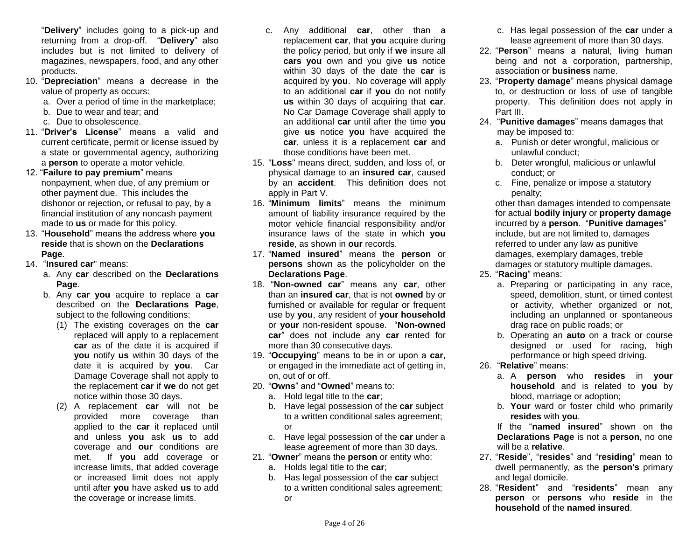"**Delivery**" includes going to a pick-up and returning from a drop-off. "**Delivery**" also includes but is not limited to delivery of magazines, newspapers, food, and any other products.

- 10. "**Depreciation**" means a decrease in the value of property as occurs:
	- a. Over a period of time in the marketplace;
	- b. Due to wear and tear; and
	- c. Due to obsolescence.
- 11. "**Driver's License**" means a valid and current certificate, permit or license issued by a state or governmental agency, authorizing a **person** to operate a motor vehicle.
- 12. "**Failure to pay premium**" means nonpayment, when due, of any premium or other payment due. This includes the dishonor or rejection, or refusal to pay, by a financial institution of any noncash payment made to **us** or made for this policy.
- 13. "**Household**" means the address where **you reside** that is shown on the **Declarations Page**.
- 14. "**Insured car**" means:
	- a. Any **car** described on the **Declarations Page**.
	- b. Any **car you** acquire to replace a **car** described on the **Declarations Page**, subject to the following conditions:
		- (1) The existing coverages on the **car**  replaced will apply to a replacement **car** as of the date it is acquired if **you** notify **us** within 30 days of the date it is acquired by **you**. Car Damage Coverage shall not apply to the replacement **car** if **we** do not get notice within those 30 days.
		- (2) A replacement **car** will not be provided more coverage than applied to the **car** it replaced until and unless **you** ask **us** to add coverage and **our** conditions are met. If **you** add coverage or increase limits, that added coverage or increased limit does not apply until after **you** have asked **us** to add the coverage or increase limits.
- c. Any additional **car**, other than a replacement **car**, that **you** acquire during the policy period, but only if **we** insure all **cars you** own and you give **us** notice within 30 days of the date the **car** is acquired by **you**. No coverage will apply to an additional **car** if **you** do not notify **us** within 30 days of acquiring that **car**. No Car Damage Coverage shall apply to an additional **car** until after the time **you** give **us** notice **you** have acquired the **car**, unless it is a replacement **car** and those conditions have been met.
- 15. "**Loss**" means direct, sudden, and loss of, or physical damage to an **insured car**, caused by an **accident**. This definition does not apply in Part V.
- 16. "**Minimum limits**" means the minimum amount of liability insurance required by the motor vehicle financial responsibility and/or insurance laws of the state in which **you reside**, as shown in **our** records.
- 17. "**Named insured**" means the **person** or **persons** shown as the policyholder on the **Declarations Page**.
- 18. "**Non-owned car**" means any **car**, other than an **insured car**, that is not **owned** by or furnished or available for regular or frequent use by **you**, any resident of **your household** or **your** non-resident spouse. "**Non-owned car**" does not include any **car** rented for more than 30 consecutive days.
- 19. "**Occupying**" means to be in or upon a **car**, or engaged in the immediate act of getting in, on, out of or off.
- 20. "**Owns**" and "**Owned**" means to:
	- a. Hold legal title to the **car**;
	- b. Have legal possession of the **car** subject to a written conditional sales agreement; or
	- c. Have legal possession of the **car** under a lease agreement of more than 30 days.
- 21. "**Owner**" means the **person** or entity who:
	- a. Holds legal title to the **car**;
	- b. Has legal possession of the **car** subject to a written conditional sales agreement; or
- c. Has legal possession of the **car** under a lease agreement of more than 30 days.
- 22. "**Person**" means a natural, living human being and not a corporation, partnership, association or **business** name.
- 23. "**Property damage**" means physical damage to, or destruction or loss of use of tangible property. This definition does not apply in Part III.
- 24. "**Punitive damages**" means damages that may be imposed to:
	- a. Punish or deter wrongful, malicious or unlawful conduct;
	- b. Deter wrongful, malicious or unlawful conduct; or
	- c. Fine, penalize or impose a statutory penalty;

other than damages intended to compensate for actual **bodily injury** or **property damage**  incurred by a **person**. "**Punitive damages**" include, but are not limited to, damages referred to under any law as punitive damages, exemplary damages, treble damages or statutory multiple damages.

- 25. "**Racing**" means:
	- a. Preparing or participating in any race, speed, demolition, stunt, or timed contest or activity, whether organized or not, including an unplanned or spontaneous drag race on public roads; or
	- b. Operating an **auto** on a track or course designed or used for racing, high performance or high speed driving.
- 26. "**Relative**" means:
	- a. A **person** who **resides** in **your household** and is related to **you** by blood, marriage or adoption;
	- b. **Your** ward or foster child who primarily **resides** with **you**.

If the "**named insured**" shown on the **Declarations Page** is not a **person**, no one will be a **relative**.

- 27. "**Reside**", "**resides**" and "**residing**" mean to dwell permanently, as the **person's** primary and legal domicile.
- 28. "**Resident**" and "**residents**" mean any **person** or **persons** who **reside** in the **household** of the **named insured**.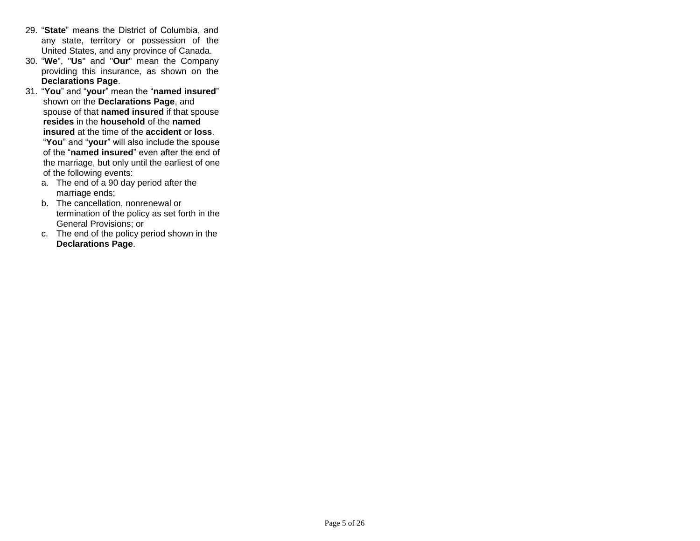- 29. "**State**" means the District of Columbia, and any state, territory or possession of the United States, and any province of Canada.
- 30. "**We**", "**Us**" and "**Our**" mean the Company providing this insurance, as shown on the **Declarations Page**.
- 31. "**You**" and "**your**" mean the "**named insured**" shown on the **Declarations Page**, and spouse of that **named insured** if that spouse **resides** in the **household** of the **named insured** at the time of the **accident** or **loss**. "**You**" and "**your**" will also include the spouse of the "**named insured**" even after the end of the marriage, but only until the earliest of one of the following events:
	- a. The end of a 90 day period after the marriage ends;
	- b. The cancellation, nonrenewal or termination of the policy as set forth in the General Provisions; or
	- c. The end of the policy period shown in the **Declarations Page**.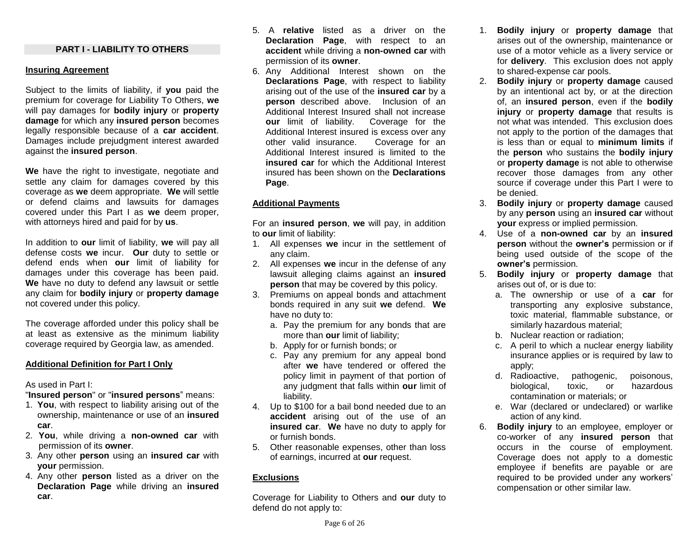#### **PART I - LIABILITY TO OTHERS**

### **Insuring Agreement**

Subject to the limits of liability, if **you** paid the premium for coverage for Liability To Others, **we**  will pay damages for **bodily injury** or **property damage** for which any **insured person** becomes legally responsible because of a **car accident**. Damages include prejudgment interest awarded against the **insured person**.

**We** have the right to investigate, negotiate and settle any claim for damages covered by this coverage as **we** deem appropriate. **We** will settle or defend claims and lawsuits for damages covered under this Part I as **we** deem proper, with attorneys hired and paid for by **us**.

In addition to **our** limit of liability, **we** will pay all defense costs **we** incur. **Our** duty to settle or defend ends when **our** limit of liability for damages under this coverage has been paid. **We** have no duty to defend any lawsuit or settle any claim for **bodily injury** or **property damage** not covered under this policy.

The coverage afforded under this policy shall be at least as extensive as the minimum liability coverage required by Georgia law, as amended.

### **Additional Definition for Part I Only**

As used in Part I:

"**Insured person**" or "**insured persons**" means:

- 1. **You**, with respect to liability arising out of the ownership, maintenance or use of an **insured car**.
- 2. **You**, while driving a **non-owned car** with permission of its **owner**.
- 3. Any other **person** using an **insured car** with **your** permission.
- 4. Any other **person** listed as a driver on the **Declaration Page** while driving an **insured car**.
- 5. A **relative** listed as a driver on the **Declaration Page**, with respect to an **accident** while driving a **non-owned car** with permission of its **owner**.
- 6. Any Additional Interest shown on the **Declarations Page**, with respect to liability arising out of the use of the **insured car** by a **person** described above. Inclusion of an Additional Interest Insured shall not increase **our** limit of liability. Coverage for the Additional Interest insured is excess over any other valid insurance. Coverage for an Additional Interest insured is limited to the **insured car** for which the Additional Interest insured has been shown on the **Declarations Page**.

# **Additional Payments**

For an **insured person**, **we** will pay, in addition to **our** limit of liability:

- 1. All expenses **we** incur in the settlement of any claim.
- 2. All expenses **we** incur in the defense of any lawsuit alleging claims against an **insured person** that may be covered by this policy.
- 3. Premiums on appeal bonds and attachment bonds required in any suit **we** defend. **We**  have no duty to:
	- a. Pay the premium for any bonds that are more than **our** limit of liability;
	- b. Apply for or furnish bonds; or
	- c. Pay any premium for any appeal bond after **we** have tendered or offered the policy limit in payment of that portion of any judgment that falls within **our** limit of liability.
- 4. Up to \$100 for a bail bond needed due to an **accident** arising out of the use of an **insured car**. **We** have no duty to apply for or furnish bonds.
- 5. Other reasonable expenses, other than loss of earnings, incurred at **our** request.

# **Exclusions**

Coverage for Liability to Others and **our** duty to defend do not apply to:

- 1. **Bodily injury** or **property damage** that arises out of the ownership, maintenance or use of a motor vehicle as a livery service or for **delivery**. This exclusion does not apply to shared-expense car pools.
- 2. **Bodily injury** or **property damage** caused by an intentional act by, or at the direction of, an **insured person**, even if the **bodily injury** or **property damage** that results is not what was intended. This exclusion does not apply to the portion of the damages that is less than or equal to **minimum limits** if the **person** who sustains the **bodily injury** or **property damage** is not able to otherwise recover those damages from any other source if coverage under this Part I were to be denied.
- 3. **Bodily injury** or **property damage** caused by any **person** using an **insured car** without **your** express or implied permission.
- 4. Use of a **non-owned car** by an **insured person** without the **owner's** permission or if being used outside of the scope of the **owner's** permission.
- 5. **Bodily injury** or **property damage** that arises out of, or is due to:
	- a. The ownership or use of a **car** for transporting any explosive substance, toxic material, flammable substance, or similarly hazardous material;
	- b. Nuclear reaction or radiation;
	- c. A peril to which a nuclear energy liability insurance applies or is required by law to apply;
	- d. Radioactive, pathogenic, poisonous, biological, toxic, or hazardous contamination or materials; or
	- e. War (declared or undeclared) or warlike action of any kind.
- 6. **Bodily injury** to an employee, employer or co-worker of any **insured person** that occurs in the course of employment. Coverage does not apply to a domestic employee if benefits are payable or are required to be provided under any workers' compensation or other similar law.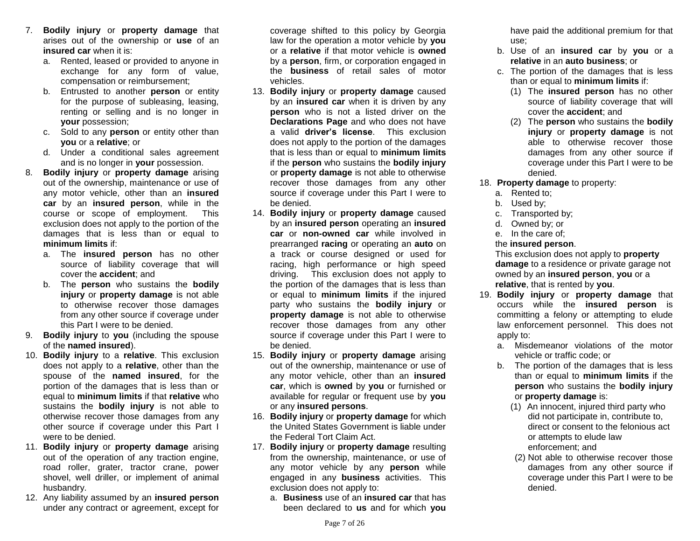- 7. **Bodily injury** or **property damage** that arises out of the ownership or **use** of an **insured car** when it is:
	- a. Rented, leased or provided to anyone in exchange for any form of value, compensation or reimbursement;
	- b. Entrusted to another **person** or entity for the purpose of subleasing, leasing, renting or selling and is no longer in **your** possession;
	- c. Sold to any **person** or entity other than **you** or a **relative**; or
	- d. Under a conditional sales agreement and is no longer in **your** possession.
- 8. **Bodily injury** or **property damage** arising out of the ownership, maintenance or use of any motor vehicle, other than an **insured car** by an **insured person**, while in the course or scope of employment. This exclusion does not apply to the portion of the damages that is less than or equal to **minimum limits** if:
	- a. The **insured person** has no other source of liability coverage that will cover the **accident**; and
	- b. The **person** who sustains the **bodily injury** or **property damage** is not able to otherwise recover those damages from any other source if coverage under this Part I were to be denied.
- 9. **Bodily injury** to **you** (including the spouse of the **named insured**).
- 10. **Bodily injury** to a **relative**. This exclusion does not apply to a **relative**, other than the spouse of the **named insured**, for the portion of the damages that is less than or equal to **minimum limits** if that **relative** who sustains the **bodily injury** is not able to otherwise recover those damages from any other source if coverage under this Part I were to be denied.
- 11. **Bodily injury** or **property damage** arising out of the operation of any traction engine, road roller, grater, tractor crane, power shovel, well driller, or implement of animal husbandry.
- 12. Any liability assumed by an **insured person** under any contract or agreement, except for

coverage shifted to this policy by Georgia law for the operation a motor vehicle by **you** or a **relative** if that motor vehicle is **owned** by a **person**, firm, or corporation engaged in the **business** of retail sales of motor vehicles.

- 13. **Bodily injury** or **property damage** caused by an **insured car** when it is driven by any **person** who is not a listed driver on the **Declarations Page** and who does not have a valid **driver's license**. This exclusion does not apply to the portion of the damages that is less than or equal to **minimum limits** if the **person** who sustains the **bodily injury** or **property damage** is not able to otherwise recover those damages from any other source if coverage under this Part I were to be denied.
- 14. **Bodily injury** or **property damage** caused by an **insured person** operating an **insured car** or **non-owned car** while involved in prearranged **racing** or operating an **auto** on a track or course designed or used for racing, high performance or high speed driving. This exclusion does not apply to the portion of the damages that is less than or equal to **minimum limits** if the injured party who sustains the **bodily injury** or **property damage** is not able to otherwise recover those damages from any other source if coverage under this Part I were to be denied.
- 15. **Bodily injury** or **property damage** arising out of the ownership, maintenance or use of any motor vehicle, other than an **insured car**, which is **owned** by **you** or furnished or available for regular or frequent use by **you** or any **insured persons**.
- 16. **Bodily injury** or **property damage** for which the United States Government is liable under the Federal Tort Claim Act.
- 17. **Bodily injury** or **property damage** resulting from the ownership, maintenance, or use of any motor vehicle by any **person** while engaged in any **business** activities. This exclusion does not apply to:
	- a. **Business** use of an **insured car** that has been declared to **us** and for which **you**

have paid the additional premium for that use;

- b. Use of an **insured car** by **you** or a **relative** in an **auto business**; or
- c. The portion of the damages that is less than or equal to **minimum limits** if:
	- (1) The **insured person** has no other source of liability coverage that will cover the **accident**; and
	- (2) The **person** who sustains the **bodily injury** or **property damage** is not able to otherwise recover those damages from any other source if coverage under this Part I were to be denied.
- 18. **Property damage** to property:
	- a. Rented to;
	- b. Used by;
	- c. Transported by;
	- d. Owned by; or
	- e. In the care of;
	- the **insured person**.

This exclusion does not apply to **property damage** to a residence or private garage not owned by an **insured person**, **you** or a **relative**, that is rented by **you**.

- 19. **Bodily injury** or **property damage** that occurs while the **insured person** is committing a felony or attempting to elude law enforcement personnel. This does not apply to:
	- a. Misdemeanor violations of the motor vehicle or traffic code; or
	- b. The portion of the damages that is less than or equal to **minimum limits** if the **person** who sustains the **bodily injury** or **property damage** is:
		- (1) An innocent, injured third party who did not participate in, contribute to, direct or consent to the felonious act or attempts to elude law enforcement; and
		- (2) Not able to otherwise recover those damages from any other source if coverage under this Part I were to be denied.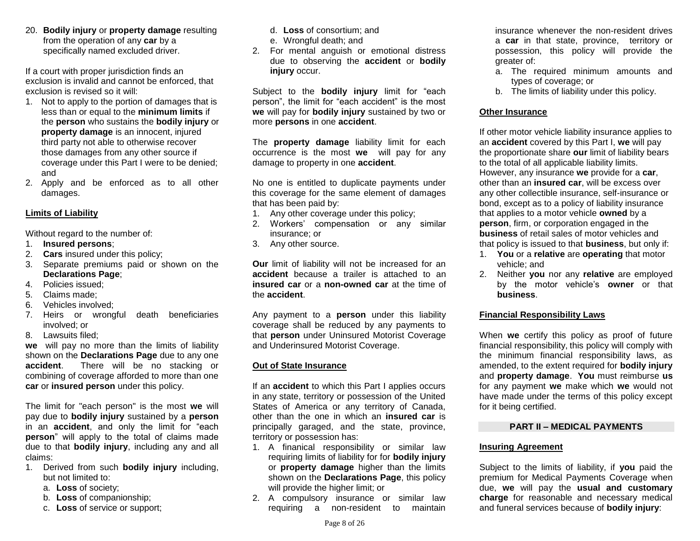20. **Bodily injury** or **property damage** resulting from the operation of any **car** by a specifically named excluded driver.

If a court with proper jurisdiction finds an exclusion is invalid and cannot be enforced, that exclusion is revised so it will:

- 1. Not to apply to the portion of damages that is less than or equal to the **minimum limits** if the **person** who sustains the **bodily injury** or **property damage** is an innocent, injured third party not able to otherwise recover those damages from any other source if coverage under this Part I were to be denied; and
- 2. Apply and be enforced as to all other damages.

#### **Limits of Liability**

Without regard to the number of:

- 1. **Insured persons**;
- 2. **Cars** insured under this policy;
- 3. Separate premiums paid or shown on the **Declarations Page**;
- 4. Policies issued;
- 5. Claims made;
- 6. Vehicles involved;
- 7. Heirs or wrongful death beneficiaries involved; or
- 8. Lawsuits filed;

**we** will pay no more than the limits of liability shown on the **Declarations Page** due to any one **accident**. There will be no stacking or combining of coverage afforded to more than one **car** or **insured person** under this policy.

The limit for "each person" is the most **we** will pay due to **bodily injury** sustained by a **person** in an **accident**, and only the limit for "each **person**" will apply to the total of claims made due to that **bodily injury**, including any and all claims:

- 1. Derived from such **bodily injury** including, but not limited to:
	- a. **Loss** of society;
	- b. **Loss** of companionship;
	- c. **Loss** of service or support;
- d. **Loss** of consortium; and e. Wrongful death; and
- 2. For mental anguish or emotional distress due to observing the **accident** or **bodily injury** occur.

Subject to the **bodily injury** limit for "each person", the limit for "each accident" is the most **we** will pay for **bodily injury** sustained by two or more **persons** in one **accident**.

The **property damage** liability limit for each occurrence is the most **we** will pay for any damage to property in one **accident**.

No one is entitled to duplicate payments under this coverage for the same element of damages that has been paid by:

- 1. Any other coverage under this policy;
- 2. Workers' compensation or any similar insurance; or
- 3. Any other source.

**Our** limit of liability will not be increased for an **accident** because a trailer is attached to an **insured car** or a **non-owned car** at the time of the **accident**.

Any payment to a **person** under this liability coverage shall be reduced by any payments to that **person** under Uninsured Motorist Coverage and Underinsured Motorist Coverage.

#### **Out of State Insurance**

If an **accident** to which this Part I applies occurs in any state, territory or possession of the United States of America or any territory of Canada, other than the one in which an **insured car** is principally garaged, and the state, province, territory or possession has:

- 1. A finanical responsibility or similar law requiring limits of liability for for **bodily injury** or **property damage** higher than the limits shown on the **Declarations Page**, this policy will provide the higher limit; or
- 2. A compulsory insurance or similar law requiring a non-resident to maintain

insurance whenever the non-resident drives a **car** in that state, province, territory or possession, this policy will provide the greater of:

- a. The required minimum amounts and types of coverage; or
- b. The limits of liability under this policy.

#### **Other Insurance**

If other motor vehicle liability insurance applies to an **accident** covered by this Part I, **we** will pay the proportionate share **our** limit of liability bears to the total of all applicable liability limits. However, any insurance **we** provide for a **car**, other than an **insured car**, will be excess over any other collectible insurance, self-insurance or bond, except as to a policy of liability insurance that applies to a motor vehicle **owned** by a **person**, firm, or corporation engaged in the **business** of retail sales of motor vehicles and that policy is issued to that **business**, but only if:

- 1. **You** or a **relative** are **operating** that motor vehicle; and
- 2. Neither **you** nor any **relative** are employed by the motor vehicle's **owner** or that **business**.

### **Financial Responsibility Laws**

When **we** certify this policy as proof of future financial responsibility, this policy will comply with the minimum financial responsibility laws, as amended, to the extent required for **bodily injury** and **property damage**. **You** must reimburse **us**  for any payment **we** make which **we** would not have made under the terms of this policy except for it being certified.

#### **PART II – MEDICAL PAYMENTS**

#### **Insuring Agreement**

Subject to the limits of liability, if **you** paid the premium for Medical Payments Coverage when due, **we** will pay the **usual and customary charge** for reasonable and necessary medical and funeral services because of **bodily injury**: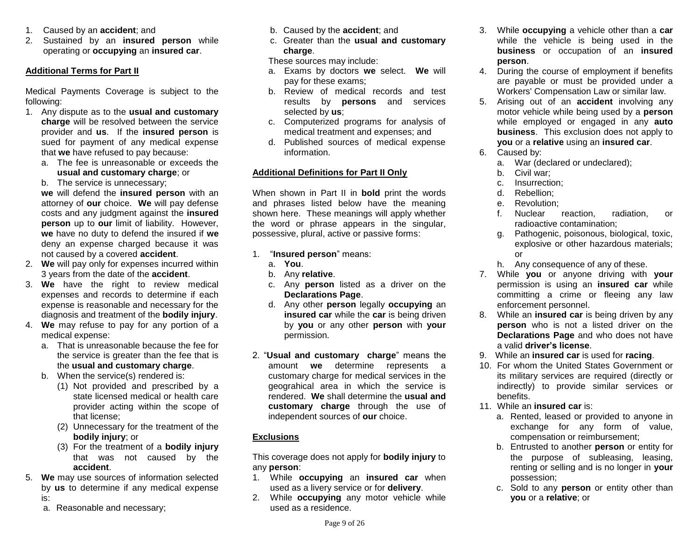- 1. Caused by an **accident**; and
- 2. Sustained by an **insured person** while operating or **occupying** an **insured car**.

### **Additional Terms for Part II**

Medical Payments Coverage is subject to the following:

- 1. Any dispute as to the **usual and customary charge** will be resolved between the service provider and **us**. If the **insured person** is sued for payment of any medical expense that **we** have refused to pay because:
	- a. The fee is unreasonable or exceeds the **usual and customary charge**; or
	- b. The service is unnecessary;

**we** will defend the **insured person** with an attorney of **our** choice. **We** will pay defense costs and any judgment against the **insured person** up to **our** limit of liability. However, **we** have no duty to defend the insured if **we**  deny an expense charged because it was not caused by a covered **accident**.

- 2. **We** will pay only for expenses incurred within 3 years from the date of the **accident**.
- 3. **We** have the right to review medical expenses and records to determine if each expense is reasonable and necessary for the diagnosis and treatment of the **bodily injury**.
- 4. **We** may refuse to pay for any portion of a medical expense:
	- a. That is unreasonable because the fee for the service is greater than the fee that is the **usual and customary charge**.
	- b. When the service(s) rendered is:
		- (1) Not provided and prescribed by a state licensed medical or health care provider acting within the scope of that license;
		- (2) Unnecessary for the treatment of the **bodily injury**; or
		- (3) For the treatment of a **bodily injury** that was not caused by the **accident**.
- 5. **We** may use sources of information selected by **us** to determine if any medical expense is:
	- a. Reasonable and necessary;
- b. Caused by the **accident**; and
- c. Greater than the **usual and customary charge**.

These sources may include:

- a. Exams by doctors **we** select. **We** will pay for these exams;
- b. Review of medical records and test results by **persons** and services selected by **us**;
- c. Computerized programs for analysis of medical treatment and expenses; and
- d. Published sources of medical expense information.

# **Additional Definitions for Part II Only**

When shown in Part II in **bold** print the words and phrases listed below have the meaning shown here. These meanings will apply whether the word or phrase appears in the singular, possessive, plural, active or passive forms:

- 1. "**Insured person**" means:
	- a. **You**.
	- b. Any **relative**.
	- c. Any **person** listed as a driver on the **Declarations Page**.
	- d. Any other **person** legally **occupying** an **insured car** while the **car** is being driven by **you** or any other **person** with **your** permission.
- 2. "**Usual and customary charge**" means the amount **we** determine represents a customary charge for medical services in the geograhical area in which the service is rendered. **We** shall determine the **usual and customary charge** through the use of independent sources of **our** choice.

# **Exclusions**

This coverage does not apply for **bodily injury** to any **person**:

- 1. While **occupying** an **insured car** when used as a livery service or for **delivery**.
- 2. While **occupying** any motor vehicle while used as a residence.
- 3. While **occupying** a vehicle other than a **car** while the vehicle is being used in the **business** or occupation of an **insured person**.
- 4. During the course of employment if benefits are payable or must be provided under a Workers' Compensation Law or similar law.
- 5. Arising out of an **accident** involving any motor vehicle while being used by a **person** while employed or engaged in any **auto business**. This exclusion does not apply to **you** or a **relative** using an **insured car**.
- 6. Caused by:
	- a. War (declared or undeclared);
	- b. Civil war;
	- c. Insurrection;
	- d. Rebellion;
	- e. Revolution;
	- f. Nuclear reaction, radiation, or radioactive contamination;
	- g. Pathogenic, poisonous, biological, toxic, explosive or other hazardous materials; or
	- h. Any consequence of any of these.
- 7. While **you** or anyone driving with **your** permission is using an **insured car** while committing a crime or fleeing any law enforcement personnel.
- 8. While an **insured car** is being driven by any **person** who is not a listed driver on the **Declarations Page** and who does not have a valid **driver's license**.
- 9. While an **insured car** is used for **racing**.
- 10. For whom the United States Government or its military services are required (directly or indirectly) to provide similar services or benefits.
- 11. While an **insured car** is:
	- a. Rented, leased or provided to anyone in exchange for any form of value, compensation or reimbursement;
	- b. Entrusted to another **person** or entity for the purpose of subleasing, leasing, renting or selling and is no longer in **your**  possession;
	- c. Sold to any **person** or entity other than **you** or a **relative**; or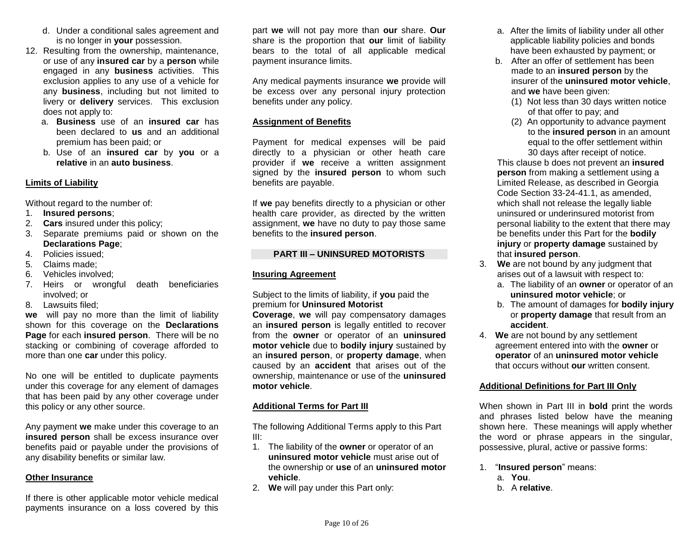- d. Under a conditional sales agreement and is no longer in **your** possession.
- 12. Resulting from the ownership, maintenance, or use of any **insured car** by a **person** while engaged in any **business** activities. This exclusion applies to any use of a vehicle for any **business**, including but not limited to livery or **delivery** services. This exclusion does not apply to:
	- a. **Business** use of an **insured car** has been declared to **us** and an additional premium has been paid; or
	- b. Use of an **insured car** by **you** or a **relative** in an **auto business**.

# **Limits of Liability**

Without regard to the number of:

- 1. **Insured persons**;
- 2. **Cars** insured under this policy;
- 3. Separate premiums paid or shown on the **Declarations Page**;
- 4. Policies issued;
- 5. Claims made;
- 6. Vehicles involved;
- 7. Heirs or wrongful death beneficiaries involved; or
- 8. Lawsuits filed;

**we** will pay no more than the limit of liability shown for this coverage on the **Declarations Page** for each **insured person**. There will be no stacking or combining of coverage afforded to more than one **car** under this policy.

No one will be entitled to duplicate payments under this coverage for any element of damages that has been paid by any other coverage under this policy or any other source.

Any payment **we** make under this coverage to an **insured person** shall be excess insurance over benefits paid or payable under the provisions of any disability benefits or similar law.

#### **Other Insurance**

If there is other applicable motor vehicle medical payments insurance on a loss covered by this

part **we** will not pay more than **our** share. **Our** share is the proportion that **our** limit of liability bears to the total of all applicable medical payment insurance limits.

Any medical payments insurance **we** provide will be excess over any personal injury protection benefits under any policy.

# **Assignment of Benefits**

Payment for medical expenses will be paid directly to a physician or other heath care provider if **we** receive a written assignment signed by the **insured person** to whom such benefits are payable.

If **we** pay benefits directly to a physician or other health care provider, as directed by the written assignment, **we** have no duty to pay those same benefits to the **insured person**.

# **PART III – UNINSURED MOTORISTS**

# **Insuring Agreement**

Subject to the limits of liability, if **you** paid the premium for **Uninsured Motorist** 

**Coverage**, **we** will pay compensatory damages an **insured person** is legally entitled to recover from the **owner** or operator of an **uninsured motor vehicle** due to **bodily injury** sustained by an **insured person**, or **property damage**, when caused by an **accident** that arises out of the ownership, maintenance or use of the **uninsured motor vehicle**.

# **Additional Terms for Part III**

The following Additional Terms apply to this Part III:

- 1. The liability of the **owner** or operator of an **uninsured motor vehicle** must arise out of the ownership or **use** of an **uninsured motor vehicle**.
- 2. **We** will pay under this Part only:
- a. After the limits of liability under all other applicable liability policies and bonds have been exhausted by payment; or
- b. After an offer of settlement has been made to an **insured person** by the insurer of the **uninsured motor vehicle**, and **we** have been given:
	- (1) Not less than 30 days written notice of that offer to pay; and
	- (2) An opportunity to advance payment to the **insured person** in an amount equal to the offer settlement within 30 days after receipt of notice.

This clause b does not prevent an **insured person** from making a settlement using a Limited Release, as described in Georgia Code Section 33-24-41.1, as amended, which shall not release the legally liable uninsured or underinsured motorist from personal liability to the extent that there may be benefits under this Part for the **bodily injury** or **property damage** sustained by that **insured person**.

- 3. **We** are not bound by any judgment that arises out of a lawsuit with respect to:
	- a. The liability of an **owner** or operator of an **uninsured motor vehicle**; or
	- b. The amount of damages for **bodily injury** or **property damage** that result from an **accident**.
- 4. **We** are not bound by any settlement agreement entered into with the **owner** or **operator** of an **uninsured motor vehicle** that occurs without **our** written consent.

# **Additional Definitions for Part III Only**

When shown in Part III in **bold** print the words and phrases listed below have the meaning shown here. These meanings will apply whether the word or phrase appears in the singular, possessive, plural, active or passive forms:

- 1. "**Insured person**" means:
	- a. **You**.
	- b. A **relative**.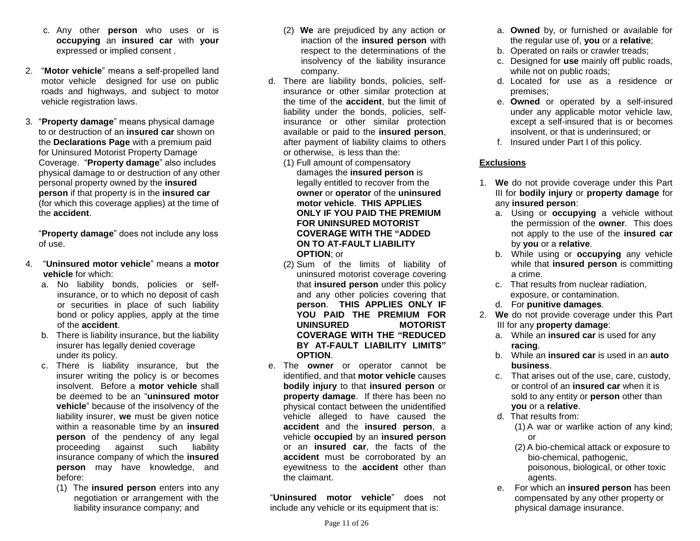- c. Any other **person** who uses or is **occupying** an **insured car** with **your** expressed or implied consent .
- 2. "**Motor vehicle**" means a self-propelled land motor vehicle designed for use on public roads and highways, and subject to motor vehicle registration laws.
- 3. "**Property damage**" means physical damage to or destruction of an **insured car** shown on the **Declarations Page** with a premium paid for Uninsured Motorist Property Damage Coverage. "**Property damage**" also includes physical damage to or destruction of any other personal property owned by the **insured person** if that property is in the **insured car**  (for which this coverage applies) at the time of the **accident**.

"**Property damage**" does not include any loss of use.

- 4. "**Uninsured motor vehicle**" means a **motor vehicle** for which:
	- a. No liability bonds, policies or selfinsurance, or to which no deposit of cash or securities in place of such liability bond or policy applies, apply at the time of the **accident**.
	- b. There is liability insurance, but the liability insurer has legally denied coverage under its policy.
	- c. There is liability insurance, but the insurer writing the policy is or becomes insolvent. Before a **motor vehicle** shall be deemed to be an "**uninsured motor vehicle**" because of the insolvency of the liability insurer, **we** must be given notice within a reasonable time by an **insured person** of the pendency of any legal proceeding against such liability insurance company of which the **insured person** may have knowledge, and before:
		- (1) The **insured person** enters into any negotiation or arrangement with the liability insurance company; and
- (2) **We** are prejudiced by any action or inaction of the **insured person** with respect to the determinations of the insolvency of the liability insurance company.
- d. There are liability bonds, policies, selfinsurance or other similar protection at the time of the **accident**, but the limit of liability under the bonds, policies, selfinsurance or other similar protection available or paid to the **insured person**, after payment of liability claims to others or otherwise, is less than the:
	- (1) Full amount of compensatory damages the **insured person** is legally entitled to recover from the **owner** or **operator** of the **uninsured motor vehicle**. **THIS APPLIES ONLY IF YOU PAID THE PREMIUM FOR UNINSURED MOTORIST COVERAGE WITH THE "ADDED ON TO AT-FAULT LIABILITY OPTION**; or
	- (2) Sum of the limits of liability of uninsured motorist coverage covering that **insured person** under this policy and any other policies covering that **person**. **THIS APPLIES ONLY IF YOU PAID THE PREMIUM FOR UNINSURED MOTORIST COVERAGE WITH THE "REDUCED BY AT-FAULT LIABILITY LIMITS" OPTION**.
- e. The **owner** or operator cannot be identified, and that **motor vehicle** causes **bodily injury** to that **insured person** or **property damage**. If there has been no physical contact between the unidentified vehicle alleged to have caused the **accident** and the **insured person**, a vehicle **occupied** by an **insured person** or an **insured car**, the facts of the **accident** must be corroborated by an eyewitness to the **accident** other than the claimant.

"**Uninsured motor vehicle**" does not include any vehicle or its equipment that is:

- a. **Owned** by, or furnished or available for the regular use of, **you** or a **relative**;
- b. Operated on rails or crawler treads;
- c. Designed for **use** mainly off public roads, while not on public roads;
- d. Located for use as a residence or premises;
- e. **Owned** or operated by a self-insured under any applicable motor vehicle law, except a self-insured that is or becomes insolvent, or that is underinsured; or
- f. Insured under Part I of this policy.

# **Exclusions**

- 1. **We** do not provide coverage under this Part III for **bodily injury** or **property damage** for any **insured person**:
	- a. Using or **occupying** a vehicle without the permission of the **owner**. This does not apply to the use of the **insured car** by **you** or a **relative**.
	- b. While using or **occupying** any vehicle while that **insured person** is committing a crime.
	- c. That results from nuclear radiation, exposure, or contamination.
	- d. For **punitive damages**.
- 2. **We** do not provide coverage under this Part III for any **property damage**:
	- a. While an **insured car** is used for any **racing**.
	- b. While an **insured car** is used in an **auto business**.
	- c. That arises out of the use, care, custody, or control of an **insured car** when it is sold to any entity or **person** other than **you** or a **relative**.
	- d. That results from:
		- (1) A war or warlike action of any kind; or
		- (2) A bio-chemical attack or exposure to bio-chemical, pathogenic, poisonous, biological, or other toxic agents.
	- e. For which an **insured person** has been compensated by any other property or physical damage insurance.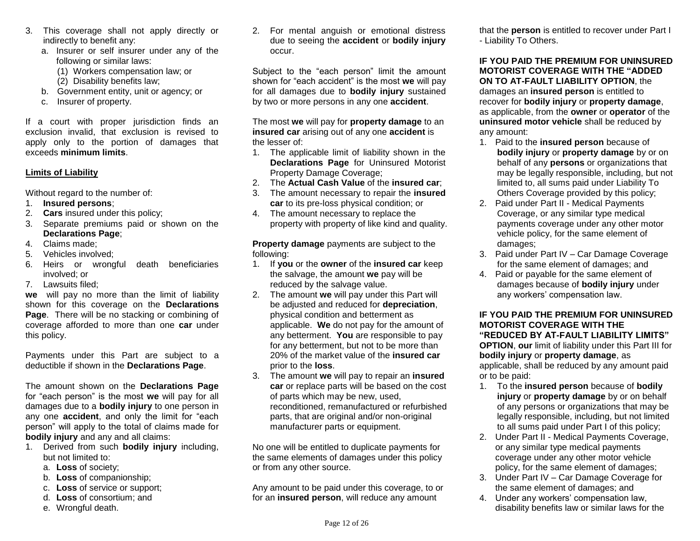- 3. This coverage shall not apply directly or indirectly to benefit any:
	- a. Insurer or self insurer under any of the following or similar laws:
		- (1) Workers compensation law; or
		- (2) Disability benefits law;
	- b. Government entity, unit or agency; or
	- c. Insurer of property.

If a court with proper jurisdiction finds an exclusion invalid, that exclusion is revised to apply only to the portion of damages that exceeds **minimum limits**.

### **Limits of Liability**

Without regard to the number of:

- 1. **Insured persons**;
- 2. **Cars** insured under this policy;
- 3. Separate premiums paid or shown on the **Declarations Page**;
- 4. Claims made;
- 5. Vehicles involved;
- 6. Heirs or wrongful death beneficiaries involved; or
- 7. Lawsuits filed;

**we** will pay no more than the limit of liability shown for this coverage on the **Declarations Page**. There will be no stacking or combining of coverage afforded to more than one **car** under this policy.

Payments under this Part are subject to a deductible if shown in the **Declarations Page**.

The amount shown on the **Declarations Page** for "each person" is the most **we** will pay for all damages due to a **bodily injury** to one person in any one **accident**, and only the limit for "each person" will apply to the total of claims made for **bodily injury** and any and all claims:

- 1. Derived from such **bodily injury** including, but not limited to:
	- a. **Loss** of society;
	- b. **Loss** of companionship;
	- c. **Loss** of service or support;
	- d. **Loss** of consortium; and
	- e. Wrongful death.

2. For mental anguish or emotional distress due to seeing the **accident** or **bodily injury**  occur.

Subject to the "each person" limit the amount shown for "each accident" is the most **we** will pay for all damages due to **bodily injury** sustained by two or more persons in any one **accident**.

The most **we** will pay for **property damage** to an **insured car** arising out of any one **accident** is the lesser of:

- 1. The applicable limit of liability shown in the **Declarations Page** for Uninsured Motorist Property Damage Coverage;
- 2. The **Actual Cash Value** of the **insured car**;
- 3. The amount necessary to repair the **insured car** to its pre-loss physical condition; or
- 4. The amount necessary to replace the property with property of like kind and quality.

**Property damage** payments are subject to the following:

- 1. If **you** or the **owner** of the **insured car** keep the salvage, the amount **we** pay will be reduced by the salvage value.
- 2. The amount **we** will pay under this Part will be adjusted and reduced for **depreciation**, physical condition and betterment as applicable. **We** do not pay for the amount of any betterment. **You** are responsible to pay for any betterment, but not to be more than 20% of the market value of the **insured car**  prior to the **loss**.
- 3. The amount **we** will pay to repair an **insured car** or replace parts will be based on the cost of parts which may be new, used, reconditioned, remanufactured or refurbished parts, that are original and/or non-original manufacturer parts or equipment.

No one will be entitled to duplicate payments for the same elements of damages under this policy or from any other source.

Any amount to be paid under this coverage, to or for an **insured person**, will reduce any amount

that the **person** is entitled to recover under Part I - Liability To Others.

**IF YOU PAID THE PREMIUM FOR UNINSURED MOTORIST COVERAGE WITH THE "ADDED ON TO AT-FAULT LIABILITY OPTION**, the damages an **insured person** is entitled to recover for **bodily injury** or **property damage**, as applicable, from the **owner** or **operator** of the **uninsured motor vehicle** shall be reduced by any amount:

- 1. Paid to the **insured person** because of **bodily injury** or **property damage** by or on behalf of any **persons** or organizations that may be legally responsible, including, but not limited to, all sums paid under Liability To Others Coverage provided by this policy;
- 2. Paid under Part II Medical Payments Coverage, or any similar type medical payments coverage under any other motor vehicle policy, for the same element of damages;
- 3. Paid under Part IV Car Damage Coverage for the same element of damages; and
- 4. Paid or payable for the same element of damages because of **bodily injury** under any workers' compensation law.

# **IF YOU PAID THE PREMIUM FOR UNINSURED MOTORIST COVERAGE WITH THE "REDUCED BY AT-FAULT LIABILITY LIMITS"**

**OPTION**, **our** limit of liability under this Part III for **bodily injury** or **property damage**, as applicable, shall be reduced by any amount paid or to be paid:

- 1. To the **insured person** because of **bodily injury** or **property damage** by or on behalf of any persons or organizations that may be legally responsible, including, but not limited to all sums paid under Part I of this policy;
- 2. Under Part II Medical Payments Coverage, or any similar type medical payments coverage under any other motor vehicle policy, for the same element of damages;
- 3. Under Part IV Car Damage Coverage for the same element of damages; and
- 4. Under any workers' compensation law, disability benefits law or similar laws for the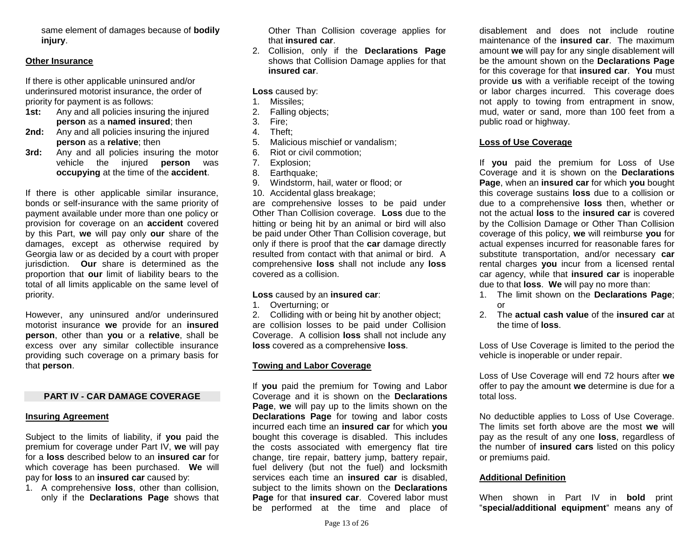same element of damages because of **bodily injury**.

#### **Other Insurance**

If there is other applicable uninsured and/or underinsured motorist insurance, the order of priority for payment is as follows:

- **1st:** Any and all policies insuring the injured **person** as a **named insured**; then
- **2nd:** Any and all policies insuring the injured **person** as a **relative**; then
- **3rd:** Any and all policies insuring the motor vehicle the injured **person** was **occupying** at the time of the **accident**.

If there is other applicable similar insurance, bonds or self-insurance with the same priority of payment available under more than one policy or provision for coverage on an **accident** covered by this Part, **we** will pay only **our** share of the damages, except as otherwise required by Georgia law or as decided by a court with proper jurisdiction. **Our** share is determined as the proportion that **our** limit of liability bears to the total of all limits applicable on the same level of priority.

However, any uninsured and/or underinsured motorist insurance **we** provide for an **insured person**, other than **you** or a **relative**, shall be excess over any similar collectible insurance providing such coverage on a primary basis for that **person**.

#### **PART IV - CAR DAMAGE COVERAGE**

#### **Insuring Agreement**

Subject to the limits of liability, if **you** paid the premium for coverage under Part IV, **we** will pay for a **loss** described below to an **insured car** for which coverage has been purchased. **We** will pay for **loss** to an **insured car** caused by:

1. A comprehensive **loss**, other than collision, only if the **Declarations Page** shows that Other Than Collision coverage applies for that **insured car**.

2. Collision, only if the **Declarations Page** shows that Collision Damage applies for that **insured car**.

**Loss** caused by:

- 1. Missiles;
- 2. Falling objects;
- 3. Fire;
- 4. Theft;
- 5. Malicious mischief or vandalism;
- 6. Riot or civil commotion;
- 7. Explosion;
- 8. Earthquake;
- 9. Windstorm, hail, water or flood; or
- 10. Accidental glass breakage;

are comprehensive losses to be paid under Other Than Collision coverage. **Loss** due to the hitting or being hit by an animal or bird will also be paid under Other Than Collision coverage, but only if there is proof that the **car** damage directly resulted from contact with that animal or bird. A comprehensive **loss** shall not include any **loss** covered as a collision.

#### **Loss** caused by an **insured car**:

1. Overturning; or

2. Colliding with or being hit by another object; are collision losses to be paid under Collision Coverage. A collision **loss** shall not include any **loss** covered as a comprehensive **loss**.

#### **Towing and Labor Coverage**

If **you** paid the premium for Towing and Labor Coverage and it is shown on the **Declarations Page**, **we** will pay up to the limits shown on the **Declarations Page** for towing and labor costs incurred each time an **insured car** for which **you**  bought this coverage is disabled. This includes the costs associated with emergency flat tire change, tire repair, battery jump, battery repair, fuel delivery (but not the fuel) and locksmith services each time an **insured car** is disabled, subject to the limits shown on the **Declarations Page** for that **insured car**. Covered labor must be performed at the time and place of

disablement and does not include routine maintenance of the **insured car**. The maximum amount **we** will pay for any single disablement will be the amount shown on the **Declarations Page** for this coverage for that **insured car**. **You** must provide **us** with a verifiable receipt of the towing or labor charges incurred. This coverage does not apply to towing from entrapment in snow, mud, water or sand, more than 100 feet from a public road or highway.

#### **Loss of Use Coverage**

If **you** paid the premium for Loss of Use Coverage and it is shown on the **Declarations Page**, when an **insured car** for which **you** bought this coverage sustains **loss** due to a collision or due to a comprehensive **loss** then, whether or not the actual **loss** to the **insured car** is covered by the Collision Damage or Other Than Collision coverage of this policy, **we** will reimburse **you** for actual expenses incurred for reasonable fares for substitute transportation, and/or necessary **car** rental charges **you** incur from a licensed rental car agency, while that **insured car** is inoperable due to that **loss**. **We** will pay no more than:

- 1. The limit shown on the **Declarations Page**; or
- 2. The **actual cash value** of the **insured car** at the time of **loss**.

Loss of Use Coverage is limited to the period the vehicle is inoperable or under repair.

Loss of Use Coverage will end 72 hours after **we** offer to pay the amount **we** determine is due for a total loss.

No deductible applies to Loss of Use Coverage. The limits set forth above are the most **we** will pay as the result of any one **loss**, regardless of the number of **insured cars** listed on this policy or premiums paid.

#### **Additional Definition**

When shown in Part IV in **bold** print "**special/additional equipment**" means any of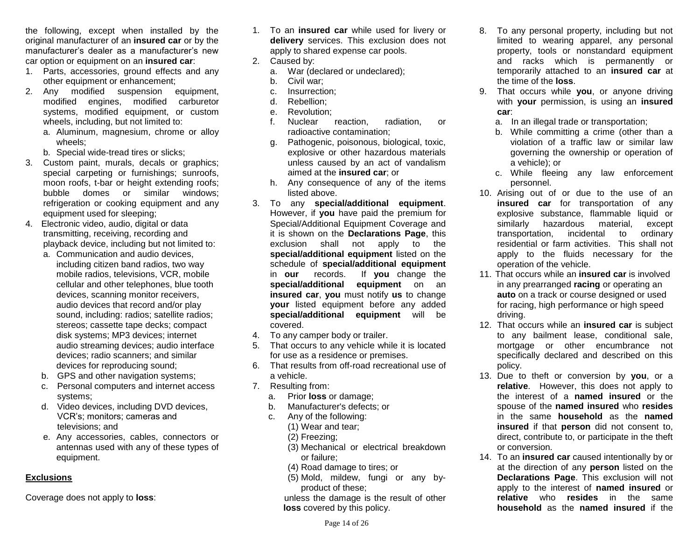the following, except when installed by the original manufacturer of an **insured car** or by the manufacturer's dealer as a manufacturer's new car option or equipment on an **insured car**:

- 1. Parts, accessories, ground effects and any other equipment or enhancement;
- 2. Any modified suspension equipment, modified engines, modified carburetor systems, modified equipment, or custom wheels, including, but not limited to:
	- a. Aluminum, magnesium, chrome or alloy wheels;
	- b. Special wide-tread tires or slicks;
- 3. Custom paint, murals, decals or graphics; special carpeting or furnishings; sunroofs, moon roofs, t-bar or height extending roofs; bubble domes or similar windows; refrigeration or cooking equipment and any equipment used for sleeping;
- 4. Electronic video, audio, digital or data transmitting, receiving, recording and playback device, including but not limited to:
	- a. Communication and audio devices, including citizen band radios, two way mobile radios, televisions, VCR, mobile cellular and other telephones, blue tooth devices, scanning monitor receivers, audio devices that record and/or play sound, including: radios; satellite radios; stereos; cassette tape decks; compact disk systems; MP3 devices; internet audio streaming devices; audio interface devices; radio scanners; and similar devices for reproducing sound;
	- b. GPS and other navigation systems;
	- c. Personal computers and internet access systems;
	- d. Video devices, including DVD devices, VCR's; monitors; cameras and televisions; and
	- e. Any accessories, cables, connectors or antennas used with any of these types of equipment.

# **Exclusions**

Coverage does not apply to **loss**:

- 1. To an **insured car** while used for livery or **delivery** services. This exclusion does not apply to shared expense car pools.
- 2. Caused by:
	- a. War (declared or undeclared);
	- b. Civil war;
	- c. Insurrection;
	- d. Rebellion;
	- e. Revolution;
	- f. Nuclear reaction, radiation, or radioactive contamination;
	- g. Pathogenic, poisonous, biological, toxic, explosive or other hazardous materials unless caused by an act of vandalism aimed at the **insured car**; or
	- h. Any consequence of any of the items listed above.
- 3. To any **special/additional equipment**. However, if **you** have paid the premium for Special/Additional Equipment Coverage and it is shown on the **Declarations Page**, this exclusion shall not apply to the **special/additional equipment** listed on the schedule of **special/additional equipment**  in **our** records. If **you** change the **special/additional equipment** on an **insured car**, **you** must notify **us** to change **your** listed equipment before any added **special/additional equipment** will be covered.
- 4. To any camper body or trailer.
- 5. That occurs to any vehicle while it is located for use as a residence or premises.
- 6. That results from off-road recreational use of a vehicle.
- 7. Resulting from:
	- a. Prior **loss** or damage;
	- b. Manufacturer's defects; or
	- c. Any of the following:
		- (1) Wear and tear;
		- (2) Freezing;
		- (3) Mechanical or electrical breakdown or failure;
		- (4) Road damage to tires; or
		- (5) Mold, mildew, fungi or any byproduct of these;

unless the damage is the result of other **loss** covered by this policy.

- 8. To any personal property, including but not limited to wearing apparel, any personal property, tools or nonstandard equipment and racks which is permanently or temporarily attached to an **insured car** at the time of the **loss**.
- 9. That occurs while **you**, or anyone driving with **your** permission, is using an **insured car**:
	- a. In an illegal trade or transportation;
	- b. While committing a crime (other than a violation of a traffic law or similar law governing the ownership or operation of a vehicle); or
	- c. While fleeing any law enforcement personnel.
- 10. Arising out of or due to the use of an **insured car** for transportation of any explosive substance, flammable liquid or similarly hazardous material, except transportation, incidental to ordinary residential or farm activities. This shall not apply to the fluids necessary for the operation of the vehicle.
- 11. That occurs while an **insured car** is involved in any prearranged **racing** or operating an **auto** on a track or course designed or used for racing, high performance or high speed driving.
- 12. That occurs while an **insured car** is subject to any bailment lease, conditional sale, mortgage or other encumbrance not specifically declared and described on this policy.
- 13. Due to theft or conversion by **you**, or a **relative**. However, this does not apply to the interest of a **named insured** or the spouse of the **named insured** who **resides** in the same **household** as the **named insured** if that **person** did not consent to, direct, contribute to, or participate in the theft or conversion.
- 14. To an **insured car** caused intentionally by or at the direction of any **person** listed on the **Declarations Page**. This exclusion will not apply to the interest of **named insured** or **relative** who **resides** in the same **household** as the **named insured** if the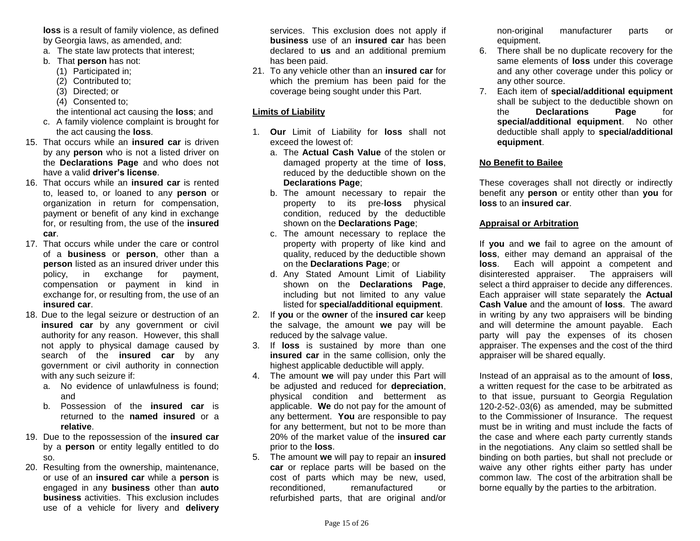**loss** is a result of family violence, as defined by Georgia laws, as amended, and:

- a. The state law protects that interest;
- b. That **person** has not:
	- (1) Participated in;
	- (2) Contributed to;
	- (3) Directed; or
	- (4) Consented to;
	- the intentional act causing the **loss**; and
- c. A family violence complaint is brought for the act causing the **loss**.
- 15. That occurs while an **insured car** is driven by any **person** who is not a listed driver on the **Declarations Page** and who does not have a valid **driver's license**.
- 16. That occurs while an **insured car** is rented to, leased to, or loaned to any **person** or organization in return for compensation, payment or benefit of any kind in exchange for, or resulting from, the use of the **insured car**.
- 17. That occurs while under the care or control of a **business** or **person**, other than a **person** listed as an insured driver under this policy, in exchange for payment, compensation or payment in kind in exchange for, or resulting from, the use of an **insured car**.
- 18. Due to the legal seizure or destruction of an **insured car** by any government or civil authority for any reason. However, this shall not apply to physical damage caused by search of the **insured car** by any government or civil authority in connection with any such seizure if:
	- a. No evidence of unlawfulness is found; and
	- b. Possession of the **insured car** is returned to the **named insured** or a **relative**.
- 19. Due to the repossession of the **insured car** by a **person** or entity legally entitled to do so.
- 20. Resulting from the ownership, maintenance, or use of an **insured car** while a **person** is engaged in any **business** other than **auto business** activities. This exclusion includes use of a vehicle for livery and **delivery**

services. This exclusion does not apply if **business** use of an **insured car** has been declared to **us** and an additional premium has been paid.

21. To any vehicle other than an **insured car** for which the premium has been paid for the coverage being sought under this Part.

# **Limits of Liability**

- 1. **Our** Limit of Liability for **loss** shall not exceed the lowest of:
	- a. The **Actual Cash Value** of the stolen or damaged property at the time of **loss**, reduced by the deductible shown on the **Declarations Page**;
	- b. The amount necessary to repair the property to its pre-**loss** physical condition, reduced by the deductible shown on the **Declarations Page**;
	- c. The amount necessary to replace the property with property of like kind and quality, reduced by the deductible shown on the **Declarations Page**; or
	- d. Any Stated Amount Limit of Liability shown on the **Declarations Page**, including but not limited to any value listed for **special/additional equipment**.
- 2. If **you** or the **owner** of the **insured car** keep the salvage, the amount **we** pay will be reduced by the salvage value.
- 3. If **loss** is sustained by more than one **insured car** in the same collision, only the highest applicable deductible will apply.
- 4. The amount **we** will pay under this Part will be adjusted and reduced for **depreciation**, physical condition and betterment as applicable. **We** do not pay for the amount of any betterment. **You** are responsible to pay for any betterment, but not to be more than 20% of the market value of the **insured car**  prior to the **loss**.
- 5. The amount **we** will pay to repair an **insured car** or replace parts will be based on the cost of parts which may be new, used, reconditioned, remanufactured or refurbished parts, that are original and/or

non-original manufacturer parts or equipment.

- 6. There shall be no duplicate recovery for the same elements of **loss** under this coverage and any other coverage under this policy or any other source.
- 7. Each item of **special/additional equipment** shall be subject to the deductible shown on the **Declarations Page** for **special/additional equipment**. No other deductible shall apply to **special/additional equipment**.

# **No Benefit to Bailee**

These coverages shall not directly or indirectly benefit any **person** or entity other than **you** for **loss** to an **insured car**.

### **Appraisal or Arbitration**

If **you** and **we** fail to agree on the amount of **loss**, either may demand an appraisal of the **loss**. Each will appoint a competent and disinterested appraiser. The appraisers will select a third appraiser to decide any differences. Each appraiser will state separately the **Actual Cash Value** and the amount of **loss**. The award in writing by any two appraisers will be binding and will determine the amount payable. Each party will pay the expenses of its chosen appraiser. The expenses and the cost of the third appraiser will be shared equally.

Instead of an appraisal as to the amount of **loss**, a written request for the case to be arbitrated as to that issue, pursuant to Georgia Regulation 120-2-52-.03(6) as amended, may be submitted to the Commissioner of Insurance. The request must be in writing and must include the facts of the case and where each party currently stands in the negotiations. Any claim so settled shall be binding on both parties, but shall not preclude or waive any other rights either party has under common law. The cost of the arbitration shall be borne equally by the parties to the arbitration.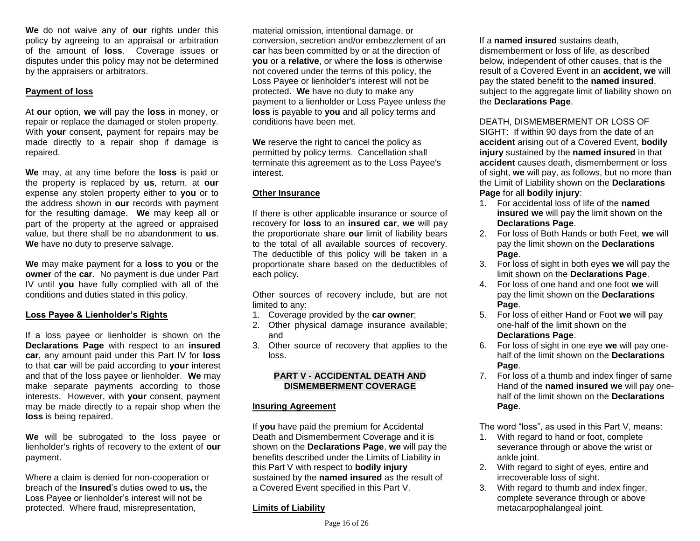**We** do not waive any of **our** rights under this policy by agreeing to an appraisal or arbitration of the amount of **loss**. Coverage issues or disputes under this policy may not be determined by the appraisers or arbitrators.

### **Payment of loss**

At **our** option, **we** will pay the **loss** in money, or repair or replace the damaged or stolen property. With **your** consent, payment for repairs may be made directly to a repair shop if damage is repaired.

**We** may, at any time before the **loss** is paid or the property is replaced by **us**, return, at **our** expense any stolen property either to **you** or to the address shown in **our** records with payment for the resulting damage. **We** may keep all or part of the property at the agreed or appraised value, but there shall be no abandonment to **us**. **We** have no duty to preserve salvage.

**We** may make payment for a **loss** to **you** or the **owner** of the **car**. No payment is due under Part IV until **you** have fully complied with all of the conditions and duties stated in this policy.

# **Loss Payee & Lienholder's Rights**

If a loss payee or lienholder is shown on the **Declarations Page** with respect to an **insured car**, any amount paid under this Part IV for **loss** to that **car** will be paid according to **your** interest and that of the loss payee or lienholder. **We** may make separate payments according to those interests. However, with **your** consent, payment may be made directly to a repair shop when the **loss** is being repaired.

**We** will be subrogated to the loss payee or lienholder's rights of recovery to the extent of **our** payment.

Where a claim is denied for non-cooperation or breach of the **Insured**'s duties owed to **us,** the Loss Payee or lienholder's interest will not be protected. Where fraud, misrepresentation,

material omission, intentional damage, or conversion, secretion and/or embezzlement of an **car** has been committed by or at the direction of **you** or a **relative**, or where the **loss** is otherwise not covered under the terms of this policy, the Loss Payee or lienholder's interest will not be protected. **We** have no duty to make any payment to a lienholder or Loss Payee unless the **loss** is payable to **you** and all policy terms and conditions have been met.

**We** reserve the right to cancel the policy as permitted by policy terms. Cancellation shall terminate this agreement as to the Loss Payee's interest.

# **Other Insurance**

If there is other applicable insurance or source of recovery for **loss** to an **insured car**, **we** will pay the proportionate share **our** limit of liability bears to the total of all available sources of recovery. The deductible of this policy will be taken in a proportionate share based on the deductibles of each policy.

Other sources of recovery include, but are not limited to any:

- 1. Coverage provided by the **car owner**;
- 2. Other physical damage insurance available; and
- 3. Other source of recovery that applies to the loss.

### **PART V - ACCIDENTAL DEATH AND DISMEMBERMENT COVERAGE**

### **Insuring Agreement**

If **you** have paid the premium for Accidental Death and Dismemberment Coverage and it is shown on the **Declarations Page**, **we** will pay the benefits described under the Limits of Liability in this Part V with respect to **bodily injury**  sustained by the **named insured** as the result of a Covered Event specified in this Part V.

# **Limits of Liability**

If a **named insured** sustains death, dismemberment or loss of life, as described below, independent of other causes, that is the result of a Covered Event in an **accident**, **we** will pay the stated benefit to the **named insured**, subject to the aggregate limit of liability shown on the **Declarations Page**.

# DEATH, DISMEMBERMENT OR LOSS OF

SIGHT: If within 90 days from the date of an **accident** arising out of a Covered Event, **bodily injury** sustained by the **named insured** in that **accident** causes death, dismemberment or loss of sight, **we** will pay, as follows, but no more than the Limit of Liability shown on the **Declarations Page** for all **bodily injury**:

- 1. For accidental loss of life of the **named insured we** will pay the limit shown on the **Declarations Page**.
- 2. For loss of Both Hands or both Feet, **we** will pay the limit shown on the **Declarations Page**.
- 3. For loss of sight in both eyes **we** will pay the limit shown on the **Declarations Page**.
- 4. For loss of one hand and one foot **we** will pay the limit shown on the **Declarations Page**.
- 5. For loss of either Hand or Foot **we** will pay one-half of the limit shown on the **Declarations Page**.
- 6. For loss of sight in one eye **we** will pay onehalf of the limit shown on the **Declarations Page**.
- 7. For loss of a thumb and index finger of same Hand of the **named insured we** will pay onehalf of the limit shown on the **Declarations Page**.

The word "loss", as used in this Part V, means:

- 1. With regard to hand or foot, complete severance through or above the wrist or ankle joint.
- 2. With regard to sight of eyes, entire and irrecoverable loss of sight.
- 3. With regard to thumb and index finger, complete severance through or above metacarpophalangeal joint.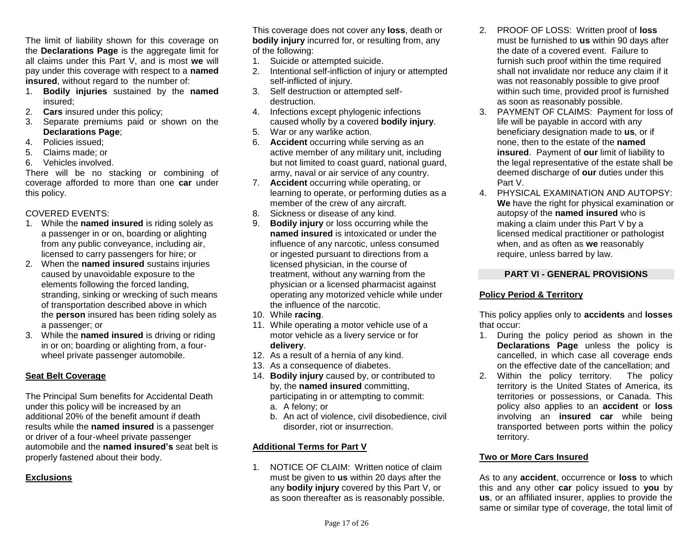The limit of liability shown for this coverage on the **Declarations Page** is the aggregate limit for all claims under this Part V, and is most **we** will pay under this coverage with respect to a **named insured**, without regard to the number of:

- 1. **Bodily injuries** sustained by the **named**  insured;
- 2. **Cars** insured under this policy;
- 3. Separate premiums paid or shown on the **Declarations Page**;
- 4. Policies issued;
- 5. Claims made; or
- 6. Vehicles involved.

There will be no stacking or combining of coverage afforded to more than one **car** under this policy.

# COVERED EVENTS:

- 1. While the **named insured** is riding solely as a passenger in or on, boarding or alighting from any public conveyance, including air, licensed to carry passengers for hire; or
- 2. When the **named insured** sustains injuries caused by unavoidable exposure to the elements following the forced landing, stranding, sinking or wrecking of such means of transportation described above in which the **person** insured has been riding solely as a passenger; or
- 3. While the **named insured** is driving or riding in or on; boarding or alighting from, a fourwheel private passenger automobile.

# **Seat Belt Coverage**

The Principal Sum benefits for Accidental Death under this policy will be increased by an additional 20% of the benefit amount if death results while the **named insured** is a passenger or driver of a four-wheel private passenger automobile and the **named insured's** seat belt is properly fastened about their body.

# **Exclusions**

This coverage does not cover any **loss**, death or **bodily injury** incurred for, or resulting from, any of the following:

- 1. Suicide or attempted suicide.
- 2. Intentional self-infliction of injury or attempted self-inflicted of injury.
- 3. Self destruction or attempted selfdestruction.
- 4. Infections except phylogenic infections caused wholly by a covered **bodily injury**.
- 5. War or any warlike action.
- 6. **Accident** occurring while serving as an active member of any military unit, including but not limited to coast guard, national guard, army, naval or air service of any country.
- 7. **Accident** occurring while operating, or learning to operate, or performing duties as a member of the crew of any aircraft.
- 8. Sickness or disease of any kind.
- 9. **Bodily injury** or loss occurring while the **named insured** is intoxicated or under the influence of any narcotic, unless consumed or ingested pursuant to directions from a licensed physician, in the course of treatment, without any warning from the physician or a licensed pharmacist against operating any motorized vehicle while under the influence of the narcotic.
- 10. While **racing**.
- 11. While operating a motor vehicle use of a motor vehicle as a livery service or for **delivery**.
- 12. As a result of a hernia of any kind.
- 13. As a consequence of diabetes.
- 14. **Bodily injury** caused by, or contributed to by, the **named insured** committing, participating in or attempting to commit: a. A felony; or
	- b. An act of violence, civil disobedience, civil disorder, riot or insurrection.

# **Additional Terms for Part V**

1. NOTICE OF CLAIM: Written notice of claim must be given to **us** within 20 days after the any **bodily injury** covered by this Part V, or as soon thereafter as is reasonably possible.

- 2. PROOF OF LOSS: Written proof of **loss** must be furnished to **us** within 90 days after the date of a covered event. Failure to furnish such proof within the time required shall not invalidate nor reduce any claim if it was not reasonably possible to give proof within such time, provided proof is furnished as soon as reasonably possible.
- 3. PAYMENT OF CLAIMS: Payment for loss of life will be payable in accord with any beneficiary designation made to **us**, or if none, then to the estate of the **named insured**. Payment of **our** limit of liability to the legal representative of the estate shall be deemed discharge of **our** duties under this Part V.
- 4. PHYSICAL EXAMINATION AND AUTOPSY: **We** have the right for physical examination or autopsy of the **named insured** who is making a claim under this Part V by a licensed medical practitioner or pathologist when, and as often as **we** reasonably require, unless barred by law.

# **PART VI - GENERAL PROVISIONS**

# **Policy Period & Territory**

This policy applies only to **accidents** and **losses** that occur:

- 1. During the policy period as shown in the **Declarations Page** unless the policy is cancelled, in which case all coverage ends on the effective date of the cancellation; and
- 2. Within the policy territory. The policy territory is the United States of America, its territories or possessions, or Canada. This policy also applies to an **accident** or **loss** involving an **insured car** while being transported between ports within the policy territory.

# **Two or More Cars Insured**

As to any **accident**, occurrence or **loss** to which this and any other **car** policy issued to **you** by **us**, or an affiliated insurer, applies to provide the same or similar type of coverage, the total limit of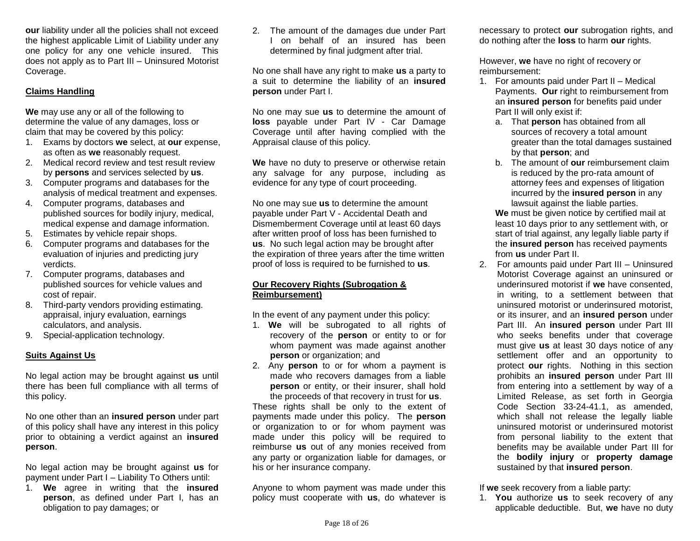**our** liability under all the policies shall not exceed the highest applicable Limit of Liability under any one policy for any one vehicle insured. This does not apply as to Part III – Uninsured Motorist Coverage.

# **Claims Handling**

**We** may use any or all of the following to determine the value of any damages, loss or claim that may be covered by this policy:

- 1. Exams by doctors **we** select, at **our** expense, as often as **we** reasonably request.
- 2. Medical record review and test result review by **persons** and services selected by **us**.
- 3. Computer programs and databases for the analysis of medical treatment and expenses.
- 4. Computer programs, databases and published sources for bodily injury, medical, medical expense and damage information.
- 5. Estimates by vehicle repair shops.
- 6. Computer programs and databases for the evaluation of injuries and predicting jury verdicts.
- 7. Computer programs, databases and published sources for vehicle values and cost of repair.
- 8. Third-party vendors providing estimating. appraisal, injury evaluation, earnings calculators, and analysis.
- 9. Special-application technology.

### **Suits Against Us**

No legal action may be brought against **us** until there has been full compliance with all terms of this policy.

No one other than an **insured person** under part of this policy shall have any interest in this policy prior to obtaining a verdict against an **insured person**.

No legal action may be brought against **us** for payment under Part I – Liability To Others until:

1. **We** agree in writing that the **insured person**, as defined under Part I, has an obligation to pay damages; or

2. The amount of the damages due under Part I on behalf of an insured has been determined by final judgment after trial.

No one shall have any right to make **us** a party to a suit to determine the liability of an **insured person** under Part I.

No one may sue **us** to determine the amount of **loss** payable under Part IV - Car Damage Coverage until after having complied with the Appraisal clause of this policy.

**We** have no duty to preserve or otherwise retain any salvage for any purpose, including as evidence for any type of court proceeding.

No one may sue **us** to determine the amount payable under Part V - Accidental Death and Dismemberment Coverage until at least 60 days after written proof of loss has been furnished to **us**. No such legal action may be brought after the expiration of three years after the time written proof of loss is required to be furnished to **us**.

### **Our Recovery Rights (Subrogation & Reimbursement)**

In the event of any payment under this policy:

- 1. **We** will be subrogated to all rights of recovery of the **person** or entity to or for whom payment was made against another **person** or organization; and
- 2. Any **person** to or for whom a payment is made who recovers damages from a liable **person** or entity, or their insurer, shall hold the proceeds of that recovery in trust for **us**.

These rights shall be only to the extent of payments made under this policy. The **person** or organization to or for whom payment was made under this policy will be required to reimburse **us** out of any monies received from any party or organization liable for damages, or his or her insurance company.

Anyone to whom payment was made under this policy must cooperate with **us**, do whatever is necessary to protect **our** subrogation rights, and do nothing after the **loss** to harm **our** rights.

However, **we** have no right of recovery or reimbursement:

- 1. For amounts paid under Part II Medical Payments. **Our** right to reimbursement from an **insured person** for benefits paid under Part II will only exist if:
	- a. That **person** has obtained from all sources of recovery a total amount greater than the total damages sustained by that **person**; and
	- b. The amount of **our** reimbursement claim is reduced by the pro-rata amount of attorney fees and expenses of litigation incurred by the **insured person** in any lawsuit against the liable parties.

**We** must be given notice by certified mail at least 10 days prior to any settlement with, or start of trial against, any legally liable party if the **insured person** has received payments from **us** under Part II.

2. For amounts paid under Part III – Uninsured Motorist Coverage against an uninsured or underinsured motorist if **we** have consented, in writing, to a settlement between that uninsured motorist or underinsured motorist, or its insurer, and an **insured person** under Part III. An **insured person** under Part III who seeks benefits under that coverage must give **us** at least 30 days notice of any settlement offer and an opportunity to protect **our** rights. Nothing in this section prohibits an **insured person** under Part III from entering into a settlement by way of a Limited Release, as set forth in Georgia Code Section 33-24-41.1, as amended, which shall not release the legally liable uninsured motorist or underinsured motorist from personal liability to the extent that benefits may be available under Part III for the **bodily injury** or **property damage**  sustained by that **insured person**.

If **we** seek recovery from a liable party:

1. **You** authorize **us** to seek recovery of any applicable deductible. But, **we** have no duty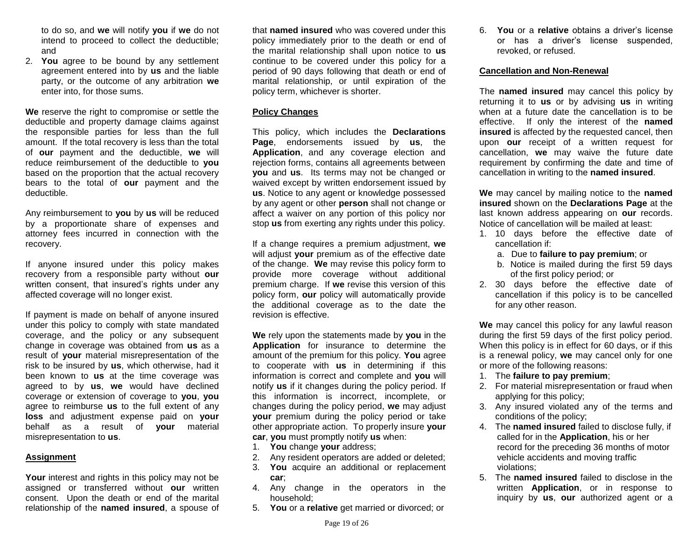to do so, and **we** will notify **you** if **we** do not intend to proceed to collect the deductible; and

2. **You** agree to be bound by any settlement agreement entered into by **us** and the liable party, or the outcome of any arbitration **we**  enter into, for those sums.

**We** reserve the right to compromise or settle the deductible and property damage claims against the responsible parties for less than the full amount. If the total recovery is less than the total of **our** payment and the deductible, **we** will reduce reimbursement of the deductible to **you**  based on the proportion that the actual recovery bears to the total of **our** payment and the deductible.

Any reimbursement to **you** by **us** will be reduced by a proportionate share of expenses and attorney fees incurred in connection with the recovery.

If anyone insured under this policy makes recovery from a responsible party without **our** written consent, that insured's rights under any affected coverage will no longer exist.

If payment is made on behalf of anyone insured under this policy to comply with state mandated coverage, and the policy or any subsequent change in coverage was obtained from **us** as a result of **your** material misrepresentation of the risk to be insured by **us**, which otherwise, had it been known to **us** at the time coverage was agreed to by **us**, **we** would have declined coverage or extension of coverage to **you**, **you** agree to reimburse **us** to the full extent of any **loss** and adjustment expense paid on **your** behalf as a result of **your** material misrepresentation to **us**.

#### **Assignment**

**Your** interest and rights in this policy may not be assigned or transferred without **our** written consent. Upon the death or end of the marital relationship of the **named insured**, a spouse of

that **named insured** who was covered under this policy immediately prior to the death or end of the marital relationship shall upon notice to **us** continue to be covered under this policy for a period of 90 days following that death or end of marital relationship, or until expiration of the policy term, whichever is shorter.

### **Policy Changes**

This policy, which includes the **Declarations Page**, endorsements issued by **us**, the **Application**, and any coverage election and rejection forms, contains all agreements between **you** and **us**. Its terms may not be changed or waived except by written endorsement issued by **us**. Notice to any agent or knowledge possessed by any agent or other **person** shall not change or affect a waiver on any portion of this policy nor stop **us** from exerting any rights under this policy.

If a change requires a premium adjustment, **we**  will adjust **your** premium as of the effective date of the change. **We** may revise this policy form to provide more coverage without additional premium charge. If **we** revise this version of this policy form, **our** policy will automatically provide the additional coverage as to the date the revision is effective.

**We** rely upon the statements made by **you** in the **Application** for insurance to determine the amount of the premium for this policy. **You** agree to cooperate with **us** in determining if this information is correct and complete and **you** will notify **us** if it changes during the policy period. If this information is incorrect, incomplete, or changes during the policy period, **we** may adjust **your** premium during the policy period or take other appropriate action. To properly insure **your car**, **you** must promptly notify **us** when:

- 1. **You** change **your** address;
- 2. Any resident operators are added or deleted;
- 3. **You** acquire an additional or replacement **car**;
- 4. Any change in the operators in the household;
- 5. **You** or a **relative** get married or divorced; or

6. **You** or a **relative** obtains a driver's license or has a driver's license suspended, revoked, or refused.

#### **Cancellation and Non-Renewal**

The **named insured** may cancel this policy by returning it to **us** or by advising **us** in writing when at a future date the cancellation is to be effective. If only the interest of the **named insured** is affected by the requested cancel, then upon **our** receipt of a written request for cancellation, **we** may waive the future date requirement by confirming the date and time of cancellation in writing to the **named insured**.

**We** may cancel by mailing notice to the **named insured** shown on the **Declarations Page** at the last known address appearing on **our** records. Notice of cancellation will be mailed at least:

- 1. 10 days before the effective date of cancellation if:
	- a. Due to **failure to pay premium**; or
	- b. Notice is mailed during the first 59 days of the first policy period; or
- 2. 30 days before the effective date of cancellation if this policy is to be cancelled for any other reason.

**We** may cancel this policy for any lawful reason during the first 59 days of the first policy period. When this policy is in effect for 60 days, or if this is a renewal policy, **we** may cancel only for one or more of the following reasons:

- 1. The **failure to pay premium**;
- 2. For material misrepresentation or fraud when applying for this policy;
- 3. Any insured violated any of the terms and conditions of the policy;
- 4. The **named insured** failed to disclose fully, if called for in the **Application**, his or her record for the preceding 36 months of motor vehicle accidents and moving traffic violations;
- 5. The **named insured** failed to disclose in the written **Application**, or in response to inquiry by **us**, **our** authorized agent or a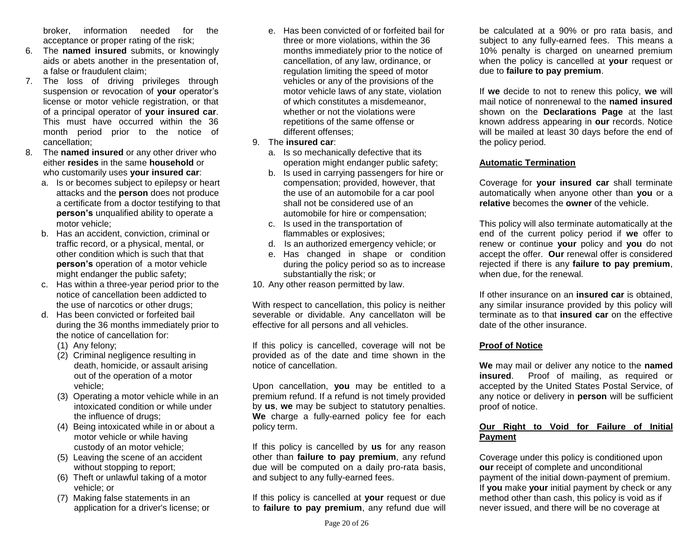broker, information needed for the acceptance or proper rating of the risk;

- 6. The **named insured** submits, or knowingly aids or abets another in the presentation of, a false or fraudulent claim;
- 7. The loss of driving privileges through suspension or revocation of **your** operator's license or motor vehicle registration, or that of a principal operator of **your insured car**. This must have occurred within the 36 month period prior to the notice of cancellation;
- 8. The **named insured** or any other driver who either **resides** in the same **household** or who customarily uses **your insured car**:
	- a. Is or becomes subject to epilepsy or heart attacks and the **person** does not produce a certificate from a doctor testifying to that **person's** unqualified ability to operate a motor vehicle;
	- b. Has an accident, conviction, criminal or traffic record, or a physical, mental, or other condition which is such that that **person's** operation of a motor vehicle might endanger the public safety;
	- c. Has within a three-year period prior to the notice of cancellation been addicted to the use of narcotics or other drugs;
	- d. Has been convicted or forfeited bail during the 36 months immediately prior to the notice of cancellation for:
		- (1) Any felony;
		- (2) Criminal negligence resulting in death, homicide, or assault arising out of the operation of a motor vehicle;
		- (3) Operating a motor vehicle while in an intoxicated condition or while under the influence of drugs;
		- (4) Being intoxicated while in or about a motor vehicle or while having custody of an motor vehicle;
		- (5) Leaving the scene of an accident without stopping to report;
		- (6) Theft or unlawful taking of a motor vehicle; or
		- (7) Making false statements in an application for a driver's license; or
- e. Has been convicted of or forfeited bail for three or more violations, within the 36 months immediately prior to the notice of cancellation, of any law, ordinance, or regulation limiting the speed of motor vehicles or any of the provisions of the motor vehicle laws of any state, violation of which constitutes a misdemeanor, whether or not the violations were repetitions of the same offense or different offenses;
- 9. The **insured car**:
	- a. Is so mechanically defective that its operation might endanger public safety;
	- b. Is used in carrying passengers for hire or compensation; provided, however, that the use of an automobile for a car pool shall not be considered use of an automobile for hire or compensation;
	- c. Is used in the transportation of flammables or explosives;
	- d. Is an authorized emergency vehicle; or
	- e. Has changed in shape or condition during the policy period so as to increase substantially the risk; or
- 10. Any other reason permitted by law.

With respect to cancellation, this policy is neither severable or dividable. Any cancellaton will be effective for all persons and all vehicles.

If this policy is cancelled, coverage will not be provided as of the date and time shown in the notice of cancellation.

Upon cancellation, **you** may be entitled to a premium refund. If a refund is not timely provided by **us**, **we** may be subject to statutory penalties. **We** charge a fully-earned policy fee for each policy term.

If this policy is cancelled by **us** for any reason other than **failure to pay premium**, any refund due will be computed on a daily pro-rata basis, and subject to any fully-earned fees.

If this policy is cancelled at **your** request or due to **failure to pay premium**, any refund due will be calculated at a 90% or pro rata basis, and subject to any fully-earned fees. This means a 10% penalty is charged on unearned premium when the policy is cancelled at **your** request or due to **failure to pay premium**.

If **we** decide to not to renew this policy, **we** will mail notice of nonrenewal to the **named insured** shown on the **Declarations Page** at the last known address appearing in **our** records. Notice will be mailed at least 30 days before the end of the policy period.

# **Automatic Termination**

Coverage for **your insured car** shall terminate automatically when anyone other than **you** or a **relative** becomes the **owner** of the vehicle.

This policy will also terminate automatically at the end of the current policy period if **we** offer to renew or continue **your** policy and **you** do not accept the offer. **Our** renewal offer is considered rejected if there is any **failure to pay premium**, when due, for the renewal.

If other insurance on an **insured car** is obtained, any similar insurance provided by this policy will terminate as to that **insured car** on the effective date of the other insurance.

# **Proof of Notice**

**We** may mail or deliver any notice to the **named insured**. Proof of mailing, as required or accepted by the United States Postal Service, of any notice or delivery in **person** will be sufficient proof of notice.

# **Our Right to Void for Failure of Initial Payment**

Coverage under this policy is conditioned upon **our** receipt of complete and unconditional payment of the initial down-payment of premium. If **you** make **your** initial payment by check or any method other than cash, this policy is void as if never issued, and there will be no coverage at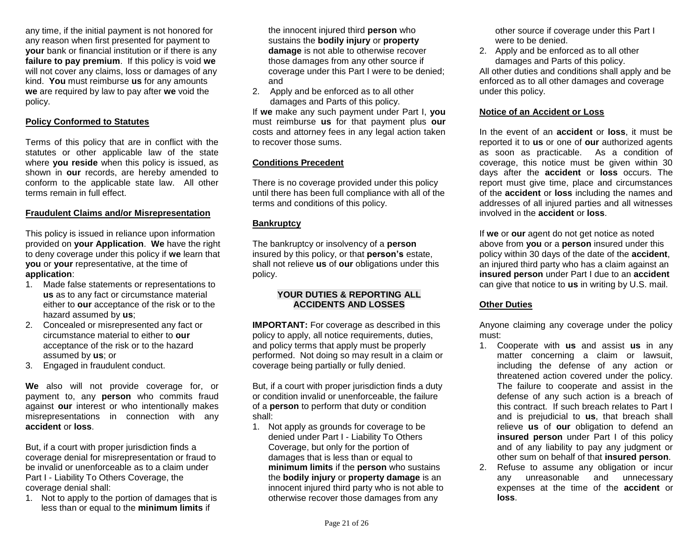any time, if the initial payment is not honored for any reason when first presented for payment to **your** bank or financial institution or if there is any **failure to pay premium**. If this policy is void **we** will not cover any claims, loss or damages of any kind. **You** must reimburse **us** for any amounts **we** are required by law to pay after **we** void the policy.

### **Policy Conformed to Statutes**

Terms of this policy that are in conflict with the statutes or other applicable law of the state where **you reside** when this policy is issued, as shown in **our** records, are hereby amended to conform to the applicable state law. All other terms remain in full effect.

### **Fraudulent Claims and/or Misrepresentation**

This policy is issued in reliance upon information provided on **your Application**. **We** have the right to deny coverage under this policy if **we** learn that **you** or **your** representative, at the time of **application**:

- 1. Made false statements or representations to **us** as to any fact or circumstance material either to **our** acceptance of the risk or to the hazard assumed by **us**;
- 2. Concealed or misrepresented any fact or circumstance material to either to **our** acceptance of the risk or to the hazard assumed by **us**; or
- 3. Engaged in fraudulent conduct.

**We** also will not provide coverage for, or payment to, any **person** who commits fraud against **our** interest or who intentionally makes misrepresentations in connection with any **accident** or **loss**.

But, if a court with proper jurisdiction finds a coverage denial for misrepresentation or fraud to be invalid or unenforceable as to a claim under Part I - Liability To Others Coverage, the coverage denial shall:

1. Not to apply to the portion of damages that is less than or equal to the **minimum limits** if

the innocent injured third **person** who sustains the **bodily injury** or **property damage** is not able to otherwise recover those damages from any other source if coverage under this Part I were to be denied; and

2. Apply and be enforced as to all other damages and Parts of this policy.

If **we** make any such payment under Part I, **you** must reimburse **us** for that payment plus **our** costs and attorney fees in any legal action taken to recover those sums.

### **Conditions Precedent**

There is no coverage provided under this policy until there has been full compliance with all of the terms and conditions of this policy.

#### **Bankruptcy**

The bankruptcy or insolvency of a **person** insured by this policy, or that **person's** estate, shall not relieve **us** of **our** obligations under this policy.

### **YOUR DUTIES & REPORTING ALL ACCIDENTS AND LOSSES**

**IMPORTANT:** For coverage as described in this policy to apply, all notice requirements, duties, and policy terms that apply must be properly performed. Not doing so may result in a claim or coverage being partially or fully denied.

But, if a court with proper jurisdiction finds a duty or condition invalid or unenforceable, the failure of a **person** to perform that duty or condition shall:

1. Not apply as grounds for coverage to be denied under Part I - Liability To Others Coverage, but only for the portion of damages that is less than or equal to **minimum limits** if the **person** who sustains the **bodily injury** or **property damage** is an innocent injured third party who is not able to otherwise recover those damages from any

other source if coverage under this Part I were to be denied.

2. Apply and be enforced as to all other damages and Parts of this policy.

All other duties and conditions shall apply and be enforced as to all other damages and coverage under this policy.

### **Notice of an Accident or Loss**

In the event of an **accident** or **loss**, it must be reported it to **us** or one of **our** authorized agents as soon as practicable. As a condition of coverage, this notice must be given within 30 days after the **accident** or **loss** occurs. The report must give time, place and circumstances of the **accident** or **loss** including the names and addresses of all injured parties and all witnesses involved in the **accident** or **loss**.

If **we** or **our** agent do not get notice as noted above from **you** or a **person** insured under this policy within 30 days of the date of the **accident**, an injured third party who has a claim against an **insured person** under Part I due to an **accident**  can give that notice to **us** in writing by U.S. mail.

### **Other Duties**

Anyone claiming any coverage under the policy must:

- 1. Cooperate with **us** and assist **us** in any matter concerning a claim or lawsuit, including the defense of any action or threatened action covered under the policy. The failure to cooperate and assist in the defense of any such action is a breach of this contract. If such breach relates to Part I and is prejudicial to **us**, that breach shall relieve **us** of **our** obligation to defend an **insured person** under Part I of this policy and of any liability to pay any judgment or other sum on behalf of that **insured person**.
- 2. Refuse to assume any obligation or incur any unreasonable and unnecessary expenses at the time of the **accident** or **loss**.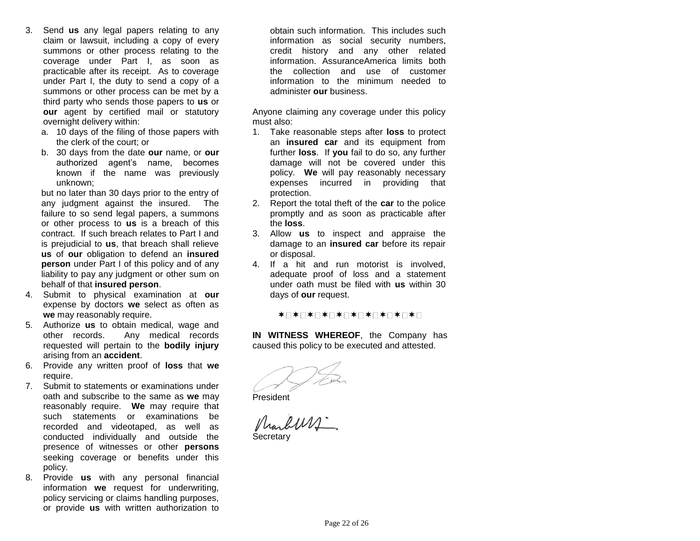- 3. Send **us** any legal papers relating to any claim or lawsuit, including a copy of every summons or other process relating to the coverage under Part I, as soon as practicable after its receipt. As to coverage under Part I, the duty to send a copy of a summons or other process can be met by a third party who sends those papers to **us** or **our** agent by certified mail or statutory overnight delivery within:
	- a. 10 days of the filing of those papers with the clerk of the court; or
	- b. 30 days from the date **our** name, or **our**  authorized agent's name, becomes known if the name was previously unknown;

but no later than 30 days prior to the entry of any judgment against the insured. The failure to so send legal papers, a summons or other process to **us** is a breach of this contract. If such breach relates to Part I and is prejudicial to **us**, that breach shall relieve **us** of **our** obligation to defend an **insured person** under Part I of this policy and of any liability to pay any judgment or other sum on behalf of that **insured person**.

- 4. Submit to physical examination at **our** expense by doctors **we** select as often as **we** may reasonably require.
- 5. Authorize **us** to obtain medical, wage and other records. Any medical records requested will pertain to the **bodily injury** arising from an **accident**.
- 6. Provide any written proof of **loss** that **we** require.
- 7. Submit to statements or examinations under oath and subscribe to the same as **we** may reasonably require. **We** may require that such statements or examinations be recorded and videotaped, as well as conducted individually and outside the presence of witnesses or other **persons** seeking coverage or benefits under this policy.
- 8. Provide **us** with any personal financial information **we** request for underwriting, policy servicing or claims handling purposes, or provide **us** with written authorization to

obtain such information. This includes such information as social security numbers, credit history and any other related information. AssuranceAmerica limits both the collection and use of customer information to the minimum needed to administer **our** business.

Anyone claiming any coverage under this policy must also:

- 1. Take reasonable steps after **loss** to protect an **insured car** and its equipment from further **loss**.If **you** fail to do so, any further damage will not be covered under this policy. **We** will pay reasonably necessary expenses incurred in providing that protection.
- 2. Report the total theft of the **car** to the police promptly and as soon as practicable after the **loss**.
- 3. Allow **us** to inspect and appraise the damage to an **insured car** before its repair or disposal.
- 4. If a hit and run motorist is involved, adequate proof of loss and a statement under oath must be filed with **us** within 30 days of **our** request.

**\*□\*□\*□\*□\*□\*□\*□\*□\*□\*□\*□** 

**IN WITNESS WHEREOF**, the Company has caused this policy to be executed and attested.

President

Marbury. **Secretary**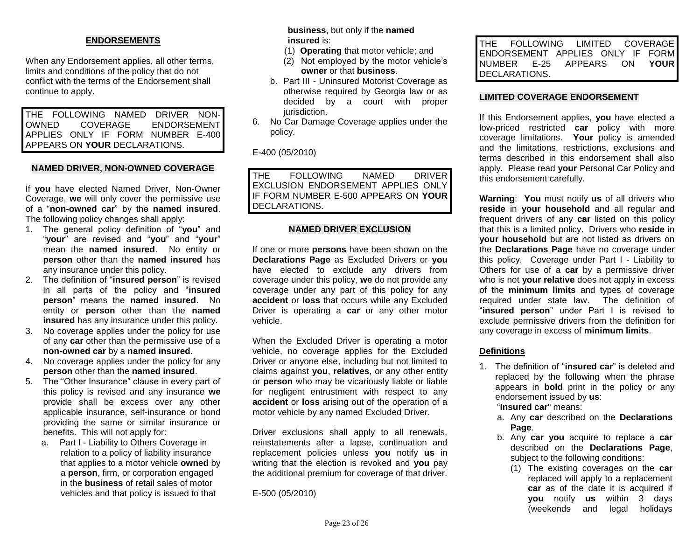### **ENDORSEMENTS**

When any Endorsement applies, all other terms, limits and conditions of the policy that do not conflict with the terms of the Endorsement shall continue to apply.

THE FOLLOWING NAMED DRIVER NON-OWNED COVERAGE ENDORSEMENT APPLIES ONLY IF FORM NUMBER E-400 APPEARS ON **YOUR** DECLARATIONS.

#### **NAMED DRIVER, NON-OWNED COVERAGE**

If **you** have elected Named Driver, Non-Owner Coverage, **we** will only cover the permissive use of a "**non-owned car**" by the **named insured**. The following policy changes shall apply:

- 1. The general policy definition of "**you**" and "**your**" are revised and "**you**" and "**your**" mean the **named insured**. No entity or **person** other than the **named insured** has any insurance under this policy.
- 2. The definition of "**insured person**" is revised in all parts of the policy and "**insured person**" means the **named insured**. No entity or **person** other than the **named insured** has any insurance under this policy.
- 3. No coverage applies under the policy for use of any **car** other than the permissive use of a **non-owned car** by a **named insured**.
- 4. No coverage applies under the policy for any **person** other than the **named insured**.
- 5. The "Other Insurance" clause in every part of this policy is revised and any insurance **we** provide shall be excess over any other applicable insurance, self-insurance or bond providing the same or similar insurance or benefits. This will not apply for:
	- a. Part I Liability to Others Coverage in relation to a policy of liability insurance that applies to a motor vehicle **owned** by a **person**, firm, or corporation engaged in the **business** of retail sales of motor vehicles and that policy is issued to that

**business**, but only if the **named insured** is:

- (1) **Operating** that motor vehicle; and
- (2) Not employed by the motor vehicle's **owner** or that **business**.
- b. Part III Uninsured Motorist Coverage as otherwise required by Georgia law or as decided by a court with proper jurisdiction.
- 6. No Car Damage Coverage applies under the policy.

E-400 (05/2010)

THE FOLLOWING NAMED DRIVER EXCLUSION ENDORSEMENT APPLIES ONLY IF FORM NUMBER E-500 APPEARS ON **YOUR** DECLARATIONS.

#### **NAMED DRIVER EXCLUSION**

If one or more **persons** have been shown on the **Declarations Page** as Excluded Drivers or **you**  have elected to exclude any drivers from coverage under this policy, **we** do not provide any coverage under any part of this policy for any **accident** or **loss** that occurs while any Excluded Driver is operating a **car** or any other motor vehicle.

When the Excluded Driver is operating a motor vehicle, no coverage applies for the Excluded Driver or anyone else, including but not limited to claims against **you**, **relatives**, or any other entity or **person** who may be vicariously liable or liable for negligent entrustment with respect to any **accident** or **loss** arising out of the operation of a motor vehicle by any named Excluded Driver.

Driver exclusions shall apply to all renewals, reinstatements after a lapse, continuation and replacement policies unless **you** notify **us** in writing that the election is revoked and **you** pay the additional premium for coverage of that driver.

E-500 (05/2010)

THE FOLLOWING LIMITED COVERAGE ENDORSEMENT APPLIES ONLY IF FORM NUMBER E-25 APPEARS ON **YOUR** DECLARATIONS.

#### **LIMITED COVERAGE ENDORSEMENT**

If this Endorsement applies, **you** have elected a low-priced restricted **car** policy with more coverage limitations. **Your** policy is amended and the limitations, restrictions, exclusions and terms described in this endorsement shall also apply.Please read **your** Personal Car Policy and this endorsement carefully.

**Warning**: **You** must notify **us** of all drivers who **reside** in **your household** and all regular and frequent drivers of any **car** listed on this policy that this is a limited policy. Drivers who **reside** in **your household** but are not listed as drivers on the **Declarations Page** have no coverage under this policy. Coverage under Part I - Liability to Others for use of a **car** by a permissive driver who is not **your relative** does not apply in excess of the **minimum limits** and types of coverage required under state law. The definition of "**insured person**" under Part I is revised to exclude permissive drivers from the definition for any coverage in excess of **minimum limits**.

### **Definitions**

1. The definition of "**insured car**" is deleted and replaced by the following when the phrase appears in **bold** print in the policy or any endorsement issued by **us**:

"**Insured car**" means:

- a. Any **car** described on the **Declarations Page**.
- b. Any **car you** acquire to replace a **car** described on the **Declarations Page**, subject to the following conditions:
	- (1) The existing coverages on the **car**  replaced will apply to a replacement **car** as of the date it is acquired if **you** notify **us** within 3 days (weekends and legal holidays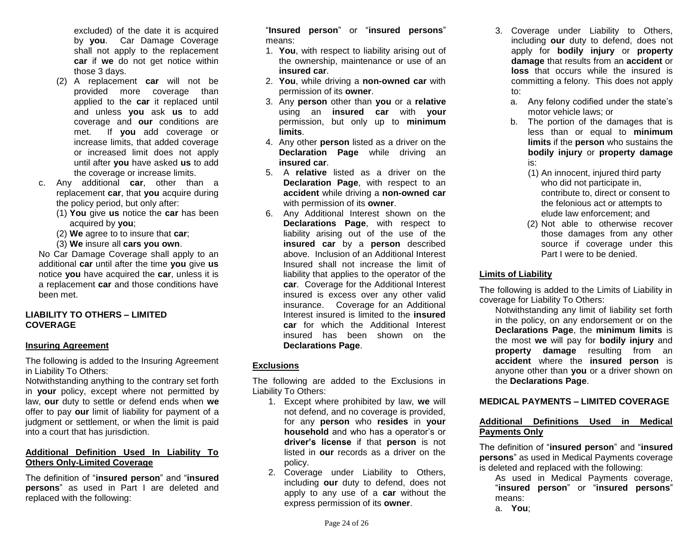excluded) of the date it is acquired by **you**. Car Damage Coverage shall not apply to the replacement **car** if **we** do not get notice within those 3 days.

- (2) A replacement **car** will not be provided more coverage than applied to the **car** it replaced until and unless **you** ask **us** to add coverage and **our** conditions are met. If **you** add coverage or increase limits, that added coverage or increased limit does not apply until after **you** have asked **us** to add the coverage or increase limits.
- c. Any additional **car**, other than a replacement **car**, that **you** acquire during the policy period, but only after:
	- (1) **You** give **us** notice the **car** has been acquired by **you**;
	- (2) **We** agree to to insure that **car**;
	- (3) **We** insure all **cars you own**.

No Car Damage Coverage shall apply to an additional **car** until after the time **you** give **us**  notice **you** have acquired the **car**, unless it is a replacement **car** and those conditions have been met.

### **LIABILITY TO OTHERS – LIMITED COVERAGE**

#### **Insuring Agreement**

The following is added to the Insuring Agreement in Liability To Others:

Notwithstanding anything to the contrary set forth in **your** policy, except where not permitted by law, **our** duty to settle or defend ends when **we** offer to pay **our** limit of liability for payment of a judgment or settlement, or when the limit is paid into a court that has jurisdiction.

# **Additional Definition Used In Liability To Others Only-Limited Coverage**

The definition of "**insured person**" and "**insured persons**" as used in Part I are deleted and replaced with the following:

"**Insured person**" or "**insured persons**" means:

- 1. **You**, with respect to liability arising out of the ownership, maintenance or use of an **insured car**.
- 2. **You**, while driving a **non-owned car** with permission of its **owner**.
- 3. Any **person** other than **you** or a **relative** using an **insured car** with **your**  permission, but only up to **minimum limits**.
- 4. Any other **person** listed as a driver on the **Declaration Page** while driving an **insured car**.
- 5. A **relative** listed as a driver on the **Declaration Page**, with respect to an **accident** while driving a **non-owned car** with permission of its **owner**.
- 6. Any Additional Interest shown on the **Declarations Page**, with respect to liability arising out of the use of the **insured car** by a **person** described above. Inclusion of an Additional Interest Insured shall not increase the limit of liability that applies to the operator of the **car**. Coverage for the Additional Interest insured is excess over any other valid insurance. Coverage for an Additional Interest insured is limited to the **insured car** for which the Additional Interest insured has been shown on the **Declarations Page**.

# **Exclusions**

The following are added to the Exclusions in Liability To Others:

- 1. Except where prohibited by law, **we** will not defend, and no coverage is provided, for any **person** who **resides** in **your household** and who has a operator's or **driver's license** if that **person** is not listed in **our** records as a driver on the policy.
- 2. Coverage under Liability to Others, including **our** duty to defend, does not apply to any use of a **car** without the express permission of its **owner**.
- 3. Coverage under Liability to Others, including **our** duty to defend, does not apply for **bodily injury** or **property damage** that results from an **accident** or **loss** that occurs while the insured is committing a felony. This does not apply to:
	- a. Any felony codified under the state's motor vehicle laws; or
	- b. The portion of the damages that is less than or equal to **minimum limits** if the **person** who sustains the **bodily injury** or **property damage** is:
		- (1) An innocent, injured third party who did not participate in, contribute to, direct or consent to the felonious act or attempts to elude law enforcement; and
		- (2) Not able to otherwise recover those damages from any other source if coverage under this Part I were to be denied.

### **Limits of Liability**

The following is added to the Limits of Liability in coverage for Liability To Others:

Notwithstanding any limit of liability set forth in the policy, on any endorsement or on the **Declarations Page**, the **minimum limits** is the most **we** will pay for **bodily injury** and **property damage** resulting from an **accident** where the **insured person** is anyone other than **you** or a driver shown on the **Declarations Page**.

## **MEDICAL PAYMENTS – LIMITED COVERAGE**

# **Additional Definitions Used in Medical Payments Only**

The definition of "**insured person**" and "**insured persons**" as used in Medical Payments coverage is deleted and replaced with the following:

As used in Medical Payments coverage, "**insured person**" or "**insured persons**" means:

a. **You**;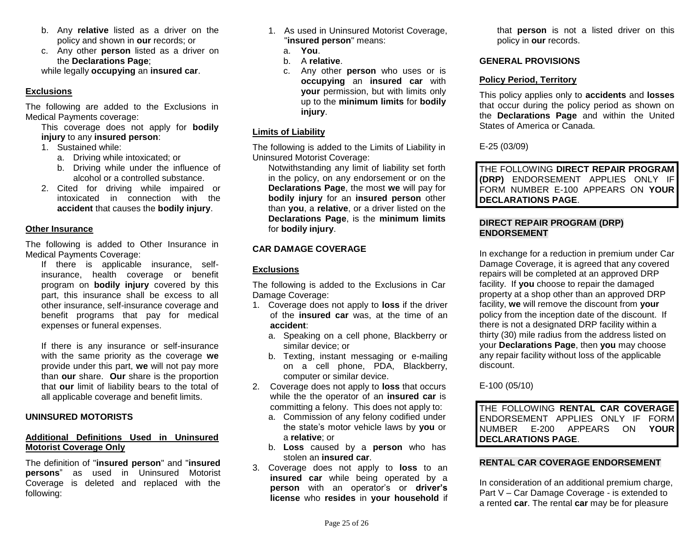- b. Any **relative** listed as a driver on the policy and shown in **our** records; or
- c. Any other **person** listed as a driver on the **Declarations Page**;

while legally **occupying** an **insured car**.

# **Exclusions**

The following are added to the Exclusions in Medical Payments coverage:

This coverage does not apply for **bodily injury** to any **insured person**:

- 1. Sustained while:
	- a. Driving while intoxicated; or
	- b. Driving while under the influence of alcohol or a controlled substance.
- 2. Cited for driving while impaired or intoxicated in connection with the **accident** that causes the **bodily injury**.

# **Other Insurance**

The following is added to Other Insurance in Medical Payments Coverage:

If there is applicable insurance, selfinsurance, health coverage or benefit program on **bodily injury** covered by this part, this insurance shall be excess to all other insurance, self-insurance coverage and benefit programs that pay for medical expenses or funeral expenses.

If there is any insurance or self-insurance with the same priority as the coverage **we**  provide under this part, **we** will not pay more than **our** share. **Our** share is the proportion that **our** limit of liability bears to the total of all applicable coverage and benefit limits.

# **UNINSURED MOTORISTS**

# **Additional Definitions Used in Uninsured Motorist Coverage Only**

The definition of "**insured person**" and "**insured persons**" as used in Uninsured Motorist Coverage is deleted and replaced with the following:

- 1. As used in Uninsured Motorist Coverage, "**insured person**" means:
	- a. **You**.
	- b. A **relative**.
	- c. Any other **person** who uses or is **occupying** an **insured car** with **your** permission, but with limits only up to the **minimum limits** for **bodily injury**.

# **Limits of Liability**

The following is added to the Limits of Liability in Uninsured Motorist Coverage:

Notwithstanding any limit of liability set forth in the policy, on any endorsement or on the **Declarations Page**, the most **we** will pay for **bodily injury** for an **insured person** other than **you**, a **relative**, or a driver listed on the **Declarations Page**, is the **minimum limits**  for **bodily injury**.

# **CAR DAMAGE COVERAGE**

# **Exclusions**

The following is added to the Exclusions in Car Damage Coverage:

- 1. Coverage does not apply to **loss** if the driver of the **insured car** was, at the time of an **accident**:
	- a. Speaking on a cell phone, Blackberry or similar device; or
	- b. Texting, instant messaging or e-mailing on a cell phone, PDA, Blackberry, computer or similar device.
- 2. Coverage does not apply to **loss** that occurs while the the operator of an **insured car** is committing a felony. This does not apply to:
	- a. Commission of any felony codified under the state's motor vehicle laws by **you** or a **relative**; or
	- b. **Loss** caused by a **person** who has stolen an **insured car**.
- 3. Coverage does not apply to **loss** to an **insured car** while being operated by a **person** with an operator's or **driver's license** who **resides** in **your household** if

that **person** is not a listed driver on this policy in **our** records.

# **GENERAL PROVISIONS**

# **Policy Period, Territory**

This policy applies only to **accidents** and **losses** that occur during the policy period as shown on the **Declarations Page** and within the United States of America or Canada.

E-25 (03/09)

THE FOLLOWING **DIRECT REPAIR PROGRAM (DRP)** ENDORSEMENT APPLIES ONLY IF FORM NUMBER E-100 APPEARS ON **YOUR DECLARATIONS PAGE**.

# **DIRECT REPAIR PROGRAM (DRP) ENDORSEMENT**

In exchange for a reduction in premium under Car Damage Coverage, it is agreed that any covered repairs will be completed at an approved DRP facility. If **you** choose to repair the damaged property at a shop other than an approved DRP facility, **we** will remove the discount from **your** policy from the inception date of the discount. If there is not a designated DRP facility within a thirty (30) mile radius from the address listed on your **Declarations Page**, then **you** may choose any repair facility without loss of the applicable discount.

# E-100 (05/10)

THE FOLLOWING **RENTAL CAR COVERAGE** ENDORSEMENT APPLIES ONLY IF FORM NUMBER E-200 APPEARS ON **YOUR DECLARATIONS PAGE**.

# **RENTAL CAR COVERAGE ENDORSEMENT**

In consideration of an additional premium charge, Part V – Car Damage Coverage - is extended to a rented **car**. The rental **car** may be for pleasure